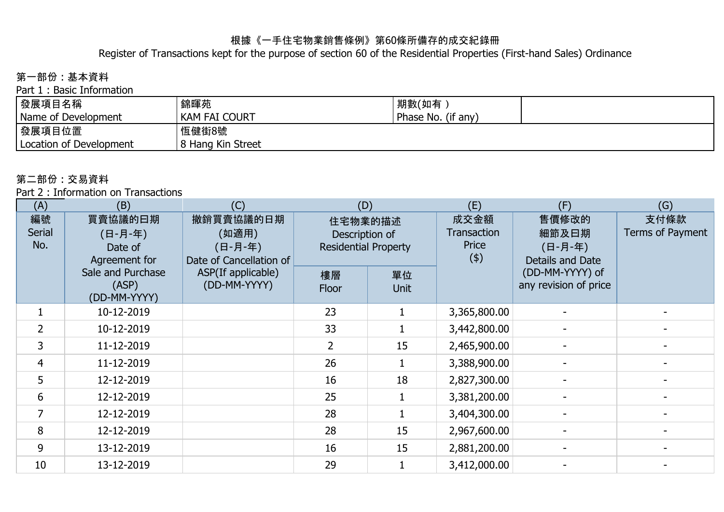#### 根據《一手住宅物業銷售條例》第60條所備存的成交紀錄冊

Register of Transactions kept for the purpose of section 60 of the Residential Properties (First-hand Sales) Ordinance

# 第一部份 : 基本資料

Part 1 : Basic Information

| │發展項目名稱                 | 錦暉苑               | 「期數(如有)            |  |
|-------------------------|-------------------|--------------------|--|
| Name of Development     | Kam fai Court     | Phase No. (if any) |  |
| │發展項目位置                 | 恆健街8號             |                    |  |
| Location of Development | 8 Hang Kin Street |                    |  |

#### 第二部份 : 交易資料

Part 2 : Information on Transactions

| (A)                        | (B)                                            | (C)                                                      | (D)                                                      |                   | (E)                                        | (F)                                           | (G)                      |
|----------------------------|------------------------------------------------|----------------------------------------------------------|----------------------------------------------------------|-------------------|--------------------------------------------|-----------------------------------------------|--------------------------|
| 編號<br><b>Serial</b><br>No. | 買賣協議的曰期<br>(日-月-年)<br>Date of<br>Agreement for | 撤銷買賣協議的日期<br>(如適用)<br>(日-月-年)<br>Date of Cancellation of | 住宅物業的描述<br>Description of<br><b>Residential Property</b> |                   | 成交金額<br><b>Transaction</b><br>Price<br>(4) | 售價修改的<br>細節及曰期<br>(日-月-年)<br>Details and Date | 支付條款<br>Terms of Payment |
|                            | Sale and Purchase<br>(ASP)<br>(DD-MM-YYYY)     | ASP(If applicable)<br>(DD-MM-YYYY)                       | 樓層<br>Floor                                              | 單位<br><b>Unit</b> |                                            | (DD-MM-YYYY) of<br>any revision of price      |                          |
| $\mathbf{1}$               | 10-12-2019                                     |                                                          | 23                                                       |                   | 3,365,800.00                               |                                               |                          |
| $\overline{2}$             | 10-12-2019                                     |                                                          | 33                                                       |                   | 3,442,800.00                               |                                               |                          |
| 3                          | 11-12-2019                                     |                                                          | $\overline{2}$                                           | 15                | 2,465,900.00                               |                                               |                          |
| 4                          | 11-12-2019                                     |                                                          | 26                                                       |                   | 3,388,900.00                               |                                               |                          |
| 5                          | 12-12-2019                                     |                                                          | 16                                                       | 18                | 2,827,300.00                               |                                               |                          |
| 6                          | 12-12-2019                                     |                                                          | 25                                                       |                   | 3,381,200.00                               |                                               |                          |
| $\overline{7}$             | 12-12-2019                                     |                                                          | 28                                                       |                   | 3,404,300.00                               |                                               |                          |
| 8                          | 12-12-2019                                     |                                                          | 28                                                       | 15                | 2,967,600.00                               |                                               |                          |
| 9                          | 13-12-2019                                     |                                                          | 16                                                       | 15                | 2,881,200.00                               |                                               |                          |
| 10                         | 13-12-2019                                     |                                                          | 29                                                       |                   | 3,412,000.00                               |                                               |                          |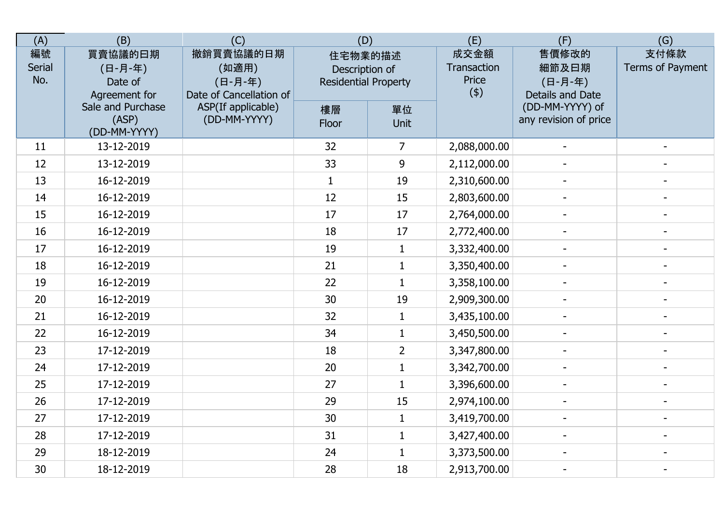| (A)                        | (B)                                            | (C)                                                      | (D)                                                      |                | (E)                                 | (F)                                           | (G)                      |
|----------------------------|------------------------------------------------|----------------------------------------------------------|----------------------------------------------------------|----------------|-------------------------------------|-----------------------------------------------|--------------------------|
| 編號<br><b>Serial</b><br>No. | 買賣協議的曰期<br>(日-月-年)<br>Date of<br>Agreement for | 撤銷買賣協議的日期<br>(如適用)<br>(日-月-年)<br>Date of Cancellation of | 住宅物業的描述<br>Description of<br><b>Residential Property</b> |                | 成交金額<br>Transaction<br>Price<br>(4) | 售價修改的<br>細節及日期<br>(日-月-年)<br>Details and Date | 支付條款<br>Terms of Payment |
|                            | Sale and Purchase<br>(ASP)<br>(DD-MM-YYYY)     | ASP(If applicable)<br>(DD-MM-YYYY)                       | 樓層<br>Floor                                              | 單位<br>Unit     |                                     | (DD-MM-YYYY) of<br>any revision of price      |                          |
| 11                         | 13-12-2019                                     |                                                          | 32                                                       | 7              | 2,088,000.00                        |                                               |                          |
| 12                         | 13-12-2019                                     |                                                          | 33                                                       | 9              | 2,112,000.00                        |                                               |                          |
| 13                         | 16-12-2019                                     |                                                          | $\mathbf{1}$                                             | 19             | 2,310,600.00                        |                                               |                          |
| 14                         | 16-12-2019                                     |                                                          | 12                                                       | 15             | 2,803,600.00                        |                                               |                          |
| 15                         | 16-12-2019                                     |                                                          | 17                                                       | 17             | 2,764,000.00                        | $\blacksquare$                                |                          |
| 16                         | 16-12-2019                                     |                                                          | 18                                                       | 17             | 2,772,400.00                        |                                               |                          |
| 17                         | 16-12-2019                                     |                                                          | 19                                                       | $\mathbf{1}$   | 3,332,400.00                        | $\sim$                                        | $\blacksquare$           |
| 18                         | 16-12-2019                                     |                                                          | 21                                                       | $\mathbf{1}$   | 3,350,400.00                        |                                               |                          |
| 19                         | 16-12-2019                                     |                                                          | 22                                                       | $\mathbf{1}$   | 3,358,100.00                        | $\blacksquare$                                |                          |
| 20                         | 16-12-2019                                     |                                                          | 30                                                       | 19             | 2,909,300.00                        |                                               |                          |
| 21                         | 16-12-2019                                     |                                                          | 32                                                       | $\mathbf{1}$   | 3,435,100.00                        |                                               |                          |
| 22                         | 16-12-2019                                     |                                                          | 34                                                       | $\mathbf{1}$   | 3,450,500.00                        |                                               |                          |
| 23                         | 17-12-2019                                     |                                                          | 18                                                       | $\overline{2}$ | 3,347,800.00                        | $\overline{\phantom{a}}$                      | $\overline{\phantom{a}}$ |
| 24                         | 17-12-2019                                     |                                                          | 20                                                       | $\mathbf{1}$   | 3,342,700.00                        | $\blacksquare$                                | $\blacksquare$           |
| 25                         | 17-12-2019                                     |                                                          | 27                                                       | $\mathbf{1}$   | 3,396,600.00                        |                                               | $\overline{\phantom{a}}$ |
| 26                         | 17-12-2019                                     |                                                          | 29                                                       | 15             | 2,974,100.00                        | $\blacksquare$                                | $\blacksquare$           |
| 27                         | 17-12-2019                                     |                                                          | 30                                                       | $\mathbf{1}$   | 3,419,700.00                        |                                               |                          |
| 28                         | 17-12-2019                                     |                                                          | 31                                                       | $\mathbf{1}$   | 3,427,400.00                        |                                               |                          |
| 29                         | 18-12-2019                                     |                                                          | 24                                                       | $\mathbf{1}$   | 3,373,500.00                        |                                               |                          |
| 30                         | 18-12-2019                                     |                                                          | 28                                                       | 18             | 2,913,700.00                        |                                               | $\overline{\phantom{a}}$ |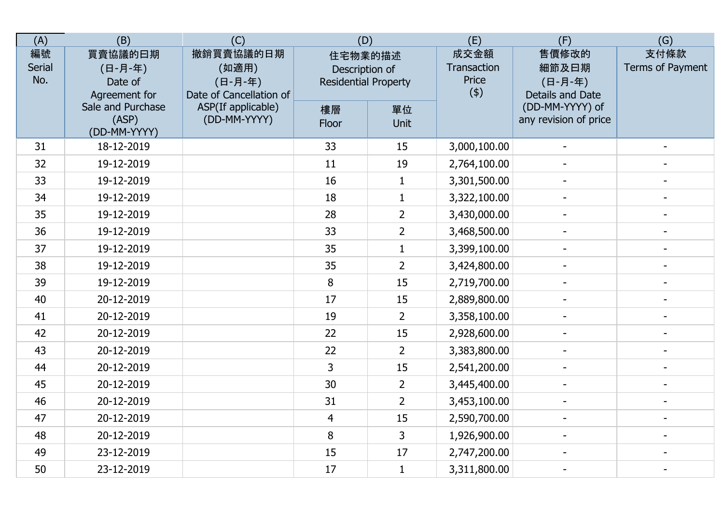| (A)                        | (B)                                            | (C)                                                      | (D)                                                      |                | (E)                                 | (F)                                           | (G)                      |
|----------------------------|------------------------------------------------|----------------------------------------------------------|----------------------------------------------------------|----------------|-------------------------------------|-----------------------------------------------|--------------------------|
| 編號<br><b>Serial</b><br>No. | 買賣協議的曰期<br>(日-月-年)<br>Date of<br>Agreement for | 撤銷買賣協議的日期<br>(如適用)<br>(日-月-年)<br>Date of Cancellation of | 住宅物業的描述<br>Description of<br><b>Residential Property</b> |                | 成交金額<br>Transaction<br>Price<br>(4) | 售價修改的<br>細節及日期<br>(日-月-年)<br>Details and Date | 支付條款<br>Terms of Payment |
|                            | Sale and Purchase<br>(ASP)<br>(DD-MM-YYYY)     | ASP(If applicable)<br>(DD-MM-YYYY)                       | 樓層<br>Floor                                              | 單位<br>Unit     |                                     | (DD-MM-YYYY) of<br>any revision of price      |                          |
| 31                         | 18-12-2019                                     |                                                          | 33                                                       | 15             | 3,000,100.00                        |                                               |                          |
| 32                         | 19-12-2019                                     |                                                          | 11                                                       | 19             | 2,764,100.00                        |                                               |                          |
| 33                         | 19-12-2019                                     |                                                          | 16                                                       | $\mathbf{1}$   | 3,301,500.00                        |                                               |                          |
| 34                         | 19-12-2019                                     |                                                          | 18                                                       | $\mathbf{1}$   | 3,322,100.00                        |                                               |                          |
| 35                         | 19-12-2019                                     |                                                          | 28                                                       | $\overline{2}$ | 3,430,000.00                        | $\overline{a}$                                |                          |
| 36                         | 19-12-2019                                     |                                                          | 33                                                       | $\overline{2}$ | 3,468,500.00                        |                                               |                          |
| 37                         | 19-12-2019                                     |                                                          | 35                                                       | $\mathbf{1}$   | 3,399,100.00                        | $\sim$                                        | $\blacksquare$           |
| 38                         | 19-12-2019                                     |                                                          | 35                                                       | $\overline{2}$ | 3,424,800.00                        |                                               |                          |
| 39                         | 19-12-2019                                     |                                                          | 8                                                        | 15             | 2,719,700.00                        | $\blacksquare$                                |                          |
| 40                         | 20-12-2019                                     |                                                          | 17                                                       | 15             | 2,889,800.00                        |                                               |                          |
| 41                         | 20-12-2019                                     |                                                          | 19                                                       | $\overline{2}$ | 3,358,100.00                        |                                               |                          |
| 42                         | 20-12-2019                                     |                                                          | 22                                                       | 15             | 2,928,600.00                        |                                               |                          |
| 43                         | 20-12-2019                                     |                                                          | 22                                                       | $\overline{2}$ | 3,383,800.00                        | $\overline{\phantom{a}}$                      | $\overline{\phantom{a}}$ |
| 44                         | 20-12-2019                                     |                                                          | 3                                                        | 15             | 2,541,200.00                        | $\blacksquare$                                | $\blacksquare$           |
| 45                         | 20-12-2019                                     |                                                          | 30                                                       | $\overline{2}$ | 3,445,400.00                        |                                               | $\overline{\phantom{a}}$ |
| 46                         | 20-12-2019                                     |                                                          | 31                                                       | $\overline{2}$ | 3,453,100.00                        | $\blacksquare$                                | $\blacksquare$           |
| 47                         | 20-12-2019                                     |                                                          | $\overline{4}$                                           | 15             | 2,590,700.00                        |                                               |                          |
| 48                         | 20-12-2019                                     |                                                          | 8                                                        | 3              | 1,926,900.00                        |                                               |                          |
| 49                         | 23-12-2019                                     |                                                          | 15                                                       | 17             | 2,747,200.00                        |                                               |                          |
| 50                         | 23-12-2019                                     |                                                          | 17                                                       | $\mathbf{1}$   | 3,311,800.00                        |                                               | $\overline{\phantom{a}}$ |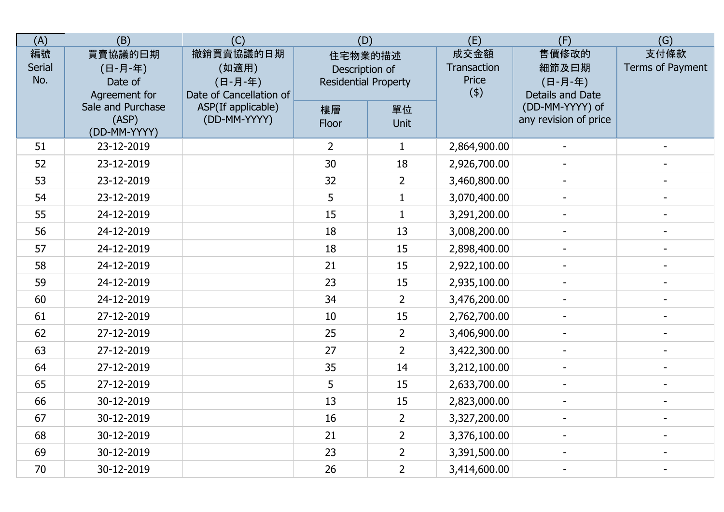| (A)                 | (B)                                            | (C)                                                      | (D)                                                      |                | (E)                                 | (F)                                           | (G)                      |
|---------------------|------------------------------------------------|----------------------------------------------------------|----------------------------------------------------------|----------------|-------------------------------------|-----------------------------------------------|--------------------------|
| 編號<br>Serial<br>No. | 買賣協議的曰期<br>(日-月-年)<br>Date of<br>Agreement for | 撤銷買賣協議的日期<br>(如適用)<br>(日-月-年)<br>Date of Cancellation of | 住宅物業的描述<br>Description of<br><b>Residential Property</b> |                | 成交金額<br>Transaction<br>Price<br>(4) | 售價修改的<br>細節及曰期<br>(日-月-年)<br>Details and Date | 支付條款<br>Terms of Payment |
|                     | Sale and Purchase<br>(ASP)<br>(DD-MM-YYYY)     | ASP(If applicable)<br>(DD-MM-YYYY)                       | 樓層<br>Floor                                              | 單位<br>Unit     |                                     | (DD-MM-YYYY) of<br>any revision of price      |                          |
| 51                  | 23-12-2019                                     |                                                          | $\overline{2}$                                           | $\mathbf{1}$   | 2,864,900.00                        |                                               |                          |
| 52                  | 23-12-2019                                     |                                                          | 30                                                       | 18             | 2,926,700.00                        |                                               |                          |
| 53                  | 23-12-2019                                     |                                                          | 32                                                       | $\overline{2}$ | 3,460,800.00                        |                                               |                          |
| 54                  | 23-12-2019                                     |                                                          | 5                                                        | $\mathbf{1}$   | 3,070,400.00                        |                                               |                          |
| 55                  | 24-12-2019                                     |                                                          | 15                                                       | $\mathbf{1}$   | 3,291,200.00                        | $\blacksquare$                                |                          |
| 56                  | 24-12-2019                                     |                                                          | 18                                                       | 13             | 3,008,200.00                        | $\overline{\phantom{a}}$                      |                          |
| 57                  | 24-12-2019                                     |                                                          | 18                                                       | 15             | 2,898,400.00                        | $\blacksquare$                                | $\blacksquare$           |
| 58                  | 24-12-2019                                     |                                                          | 21                                                       | 15             | 2,922,100.00                        |                                               |                          |
| 59                  | 24-12-2019                                     |                                                          | 23                                                       | 15             | 2,935,100.00                        |                                               |                          |
| 60                  | 24-12-2019                                     |                                                          | 34                                                       | $\overline{2}$ | 3,476,200.00                        |                                               |                          |
| 61                  | 27-12-2019                                     |                                                          | 10                                                       | 15             | 2,762,700.00                        |                                               |                          |
| 62                  | 27-12-2019                                     |                                                          | 25                                                       | $\overline{2}$ | 3,406,900.00                        |                                               |                          |
| 63                  | 27-12-2019                                     |                                                          | 27                                                       | $\overline{2}$ | 3,422,300.00                        | $\overline{\phantom{a}}$                      |                          |
| 64                  | 27-12-2019                                     |                                                          | 35                                                       | 14             | 3,212,100.00                        | $\blacksquare$                                | $\overline{\phantom{a}}$ |
| 65                  | 27-12-2019                                     |                                                          | 5                                                        | 15             | 2,633,700.00                        | $\blacksquare$                                |                          |
| 66                  | 30-12-2019                                     |                                                          | 13                                                       | 15             | 2,823,000.00                        | $\overline{\phantom{a}}$                      |                          |
| 67                  | 30-12-2019                                     |                                                          | 16                                                       | $\overline{2}$ | 3,327,200.00                        |                                               |                          |
| 68                  | 30-12-2019                                     |                                                          | 21                                                       | $\overline{2}$ | 3,376,100.00                        |                                               |                          |
| 69                  | 30-12-2019                                     |                                                          | 23                                                       | $\overline{2}$ | 3,391,500.00                        |                                               |                          |
| 70                  | 30-12-2019                                     |                                                          | 26                                                       | $\overline{2}$ | 3,414,600.00                        | $\blacksquare$                                | $\overline{\phantom{a}}$ |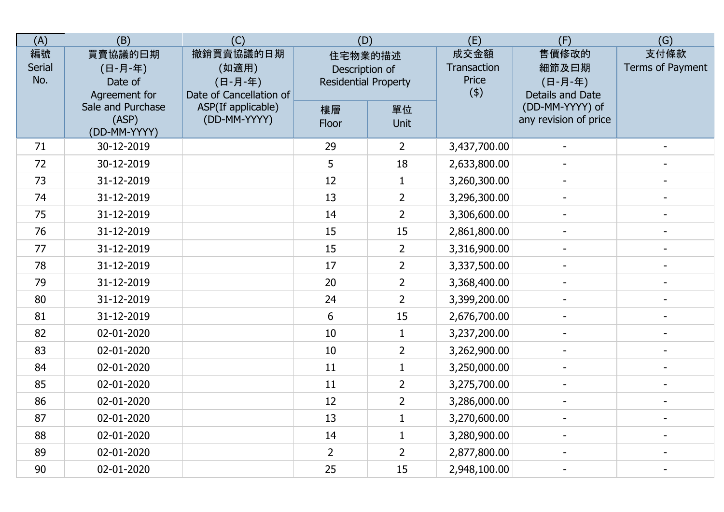| (A)                 | (B)                                            | (C)                                                      | (D)                                                      |                | (E)                                 | (F)                                           | (G)                      |
|---------------------|------------------------------------------------|----------------------------------------------------------|----------------------------------------------------------|----------------|-------------------------------------|-----------------------------------------------|--------------------------|
| 編號<br>Serial<br>No. | 買賣協議的曰期<br>(日-月-年)<br>Date of<br>Agreement for | 撤銷買賣協議的日期<br>(如適用)<br>(日-月-年)<br>Date of Cancellation of | 住宅物業的描述<br>Description of<br><b>Residential Property</b> |                | 成交金額<br>Transaction<br>Price<br>(4) | 售價修改的<br>細節及曰期<br>(日-月-年)<br>Details and Date | 支付條款<br>Terms of Payment |
|                     | Sale and Purchase<br>(ASP)<br>(DD-MM-YYYY)     | ASP(If applicable)<br>(DD-MM-YYYY)                       | 樓層<br>Floor                                              | 單位<br>Unit     |                                     | (DD-MM-YYYY) of<br>any revision of price      |                          |
| 71                  | 30-12-2019                                     |                                                          | 29                                                       | $\overline{2}$ | 3,437,700.00                        |                                               |                          |
| 72                  | 30-12-2019                                     |                                                          | 5                                                        | 18             | 2,633,800.00                        |                                               |                          |
| 73                  | 31-12-2019                                     |                                                          | 12                                                       | $\mathbf{1}$   | 3,260,300.00                        |                                               |                          |
| 74                  | 31-12-2019                                     |                                                          | 13                                                       | $\overline{2}$ | 3,296,300.00                        |                                               |                          |
| 75                  | 31-12-2019                                     |                                                          | 14                                                       | $\overline{2}$ | 3,306,600.00                        | $\blacksquare$                                |                          |
| 76                  | 31-12-2019                                     |                                                          | 15                                                       | 15             | 2,861,800.00                        |                                               |                          |
| 77                  | 31-12-2019                                     |                                                          | 15                                                       | $\overline{2}$ | 3,316,900.00                        | $\blacksquare$                                | $\blacksquare$           |
| 78                  | 31-12-2019                                     |                                                          | 17                                                       | $\overline{2}$ | 3,337,500.00                        |                                               |                          |
| 79                  | 31-12-2019                                     |                                                          | 20                                                       | $\overline{2}$ | 3,368,400.00                        |                                               |                          |
| 80                  | 31-12-2019                                     |                                                          | 24                                                       | $\overline{2}$ | 3,399,200.00                        |                                               |                          |
| 81                  | 31-12-2019                                     |                                                          | 6                                                        | 15             | 2,676,700.00                        |                                               |                          |
| 82                  | 02-01-2020                                     |                                                          | 10                                                       | $\mathbf{1}$   | 3,237,200.00                        |                                               |                          |
| 83                  | 02-01-2020                                     |                                                          | 10                                                       | $\overline{2}$ | 3,262,900.00                        | $\overline{\phantom{a}}$                      |                          |
| 84                  | 02-01-2020                                     |                                                          | 11                                                       | $\mathbf{1}$   | 3,250,000.00                        | $\blacksquare$                                | $\overline{\phantom{a}}$ |
| 85                  | 02-01-2020                                     |                                                          | 11                                                       | $\overline{2}$ | 3,275,700.00                        |                                               |                          |
| 86                  | 02-01-2020                                     |                                                          | 12                                                       | $\overline{2}$ | 3,286,000.00                        | $\overline{\phantom{a}}$                      |                          |
| 87                  | 02-01-2020                                     |                                                          | 13                                                       | $\mathbf{1}$   | 3,270,600.00                        |                                               |                          |
| 88                  | 02-01-2020                                     |                                                          | 14                                                       | $\mathbf{1}$   | 3,280,900.00                        |                                               |                          |
| 89                  | 02-01-2020                                     |                                                          | $\overline{2}$                                           | $\overline{2}$ | 2,877,800.00                        |                                               |                          |
| 90                  | 02-01-2020                                     |                                                          | 25                                                       | 15             | 2,948,100.00                        | $\blacksquare$                                | $\overline{\phantom{a}}$ |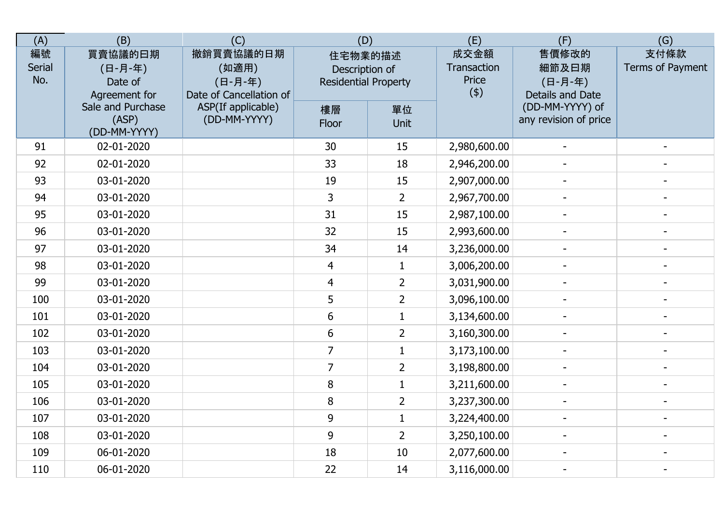| (A)                        | (B)                                            | (C)                                                      | (D)                                                      |                | (E)                                 | (F)                                           | (G)                      |
|----------------------------|------------------------------------------------|----------------------------------------------------------|----------------------------------------------------------|----------------|-------------------------------------|-----------------------------------------------|--------------------------|
| 編號<br><b>Serial</b><br>No. | 買賣協議的曰期<br>(日-月-年)<br>Date of<br>Agreement for | 撤銷買賣協議的日期<br>(如適用)<br>(日-月-年)<br>Date of Cancellation of | 住宅物業的描述<br>Description of<br><b>Residential Property</b> |                | 成交金額<br>Transaction<br>Price<br>(4) | 售價修改的<br>細節及日期<br>(日-月-年)<br>Details and Date | 支付條款<br>Terms of Payment |
|                            | Sale and Purchase<br>(ASP)<br>(DD-MM-YYYY)     | ASP(If applicable)<br>(DD-MM-YYYY)                       | 樓層<br>Floor                                              | 單位<br>Unit     |                                     | (DD-MM-YYYY) of<br>any revision of price      |                          |
| 91                         | 02-01-2020                                     |                                                          | 30                                                       | 15             | 2,980,600.00                        |                                               |                          |
| 92                         | 02-01-2020                                     |                                                          | 33                                                       | 18             | 2,946,200.00                        |                                               |                          |
| 93                         | 03-01-2020                                     |                                                          | 19                                                       | 15             | 2,907,000.00                        |                                               |                          |
| 94                         | 03-01-2020                                     |                                                          | $\overline{3}$                                           | $\overline{2}$ | 2,967,700.00                        |                                               |                          |
| 95                         | 03-01-2020                                     |                                                          | 31                                                       | 15             | 2,987,100.00                        | $\overline{a}$                                |                          |
| 96                         | 03-01-2020                                     |                                                          | 32                                                       | 15             | 2,993,600.00                        |                                               |                          |
| 97                         | 03-01-2020                                     |                                                          | 34                                                       | 14             | 3,236,000.00                        | $\sim$                                        | $\overline{a}$           |
| 98                         | 03-01-2020                                     |                                                          | $\overline{4}$                                           | $\mathbf{1}$   | 3,006,200.00                        |                                               |                          |
| 99                         | 03-01-2020                                     |                                                          | $\overline{4}$                                           | $\overline{2}$ | 3,031,900.00                        |                                               |                          |
| 100                        | 03-01-2020                                     |                                                          | 5                                                        | $\overline{2}$ | 3,096,100.00                        |                                               |                          |
| 101                        | 03-01-2020                                     |                                                          | 6                                                        | $\mathbf{1}$   | 3,134,600.00                        |                                               |                          |
| 102                        | 03-01-2020                                     |                                                          | 6                                                        | $\overline{2}$ | 3,160,300.00                        |                                               |                          |
| 103                        | 03-01-2020                                     |                                                          | $\overline{7}$                                           | $\mathbf{1}$   | 3,173,100.00                        | $\overline{\phantom{a}}$                      |                          |
| 104                        | 03-01-2020                                     |                                                          | $\overline{7}$                                           | $\overline{2}$ | 3,198,800.00                        | $\blacksquare$                                | $\blacksquare$           |
| 105                        | 03-01-2020                                     |                                                          | 8                                                        | $\mathbf{1}$   | 3,211,600.00                        |                                               | $\overline{\phantom{a}}$ |
| 106                        | 03-01-2020                                     |                                                          | 8                                                        | $\overline{2}$ | 3,237,300.00                        | $\blacksquare$                                |                          |
| 107                        | 03-01-2020                                     |                                                          | 9                                                        | $\mathbf{1}$   | 3,224,400.00                        |                                               |                          |
| 108                        | 03-01-2020                                     |                                                          | 9                                                        | $\overline{2}$ | 3,250,100.00                        |                                               |                          |
| 109                        | 06-01-2020                                     |                                                          | 18                                                       | 10             | 2,077,600.00                        |                                               |                          |
| 110                        | 06-01-2020                                     |                                                          | 22                                                       | 14             | 3,116,000.00                        |                                               |                          |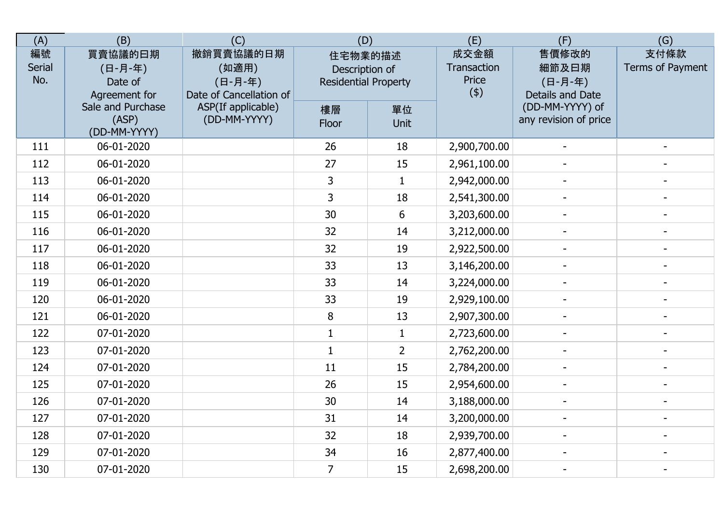| (A)                 | (B)                                            | (C)                                                      | (D)                                                      |                | (E)                                 | (F)                                           | (G)                      |
|---------------------|------------------------------------------------|----------------------------------------------------------|----------------------------------------------------------|----------------|-------------------------------------|-----------------------------------------------|--------------------------|
| 編號<br>Serial<br>No. | 買賣協議的曰期<br>(日-月-年)<br>Date of<br>Agreement for | 撤銷買賣協議的日期<br>(如適用)<br>(日-月-年)<br>Date of Cancellation of | 住宅物業的描述<br>Description of<br><b>Residential Property</b> |                | 成交金額<br>Transaction<br>Price<br>(4) | 售價修改的<br>細節及日期<br>(日-月-年)<br>Details and Date | 支付條款<br>Terms of Payment |
|                     | Sale and Purchase<br>(ASP)<br>(DD-MM-YYYY)     | ASP(If applicable)<br>(DD-MM-YYYY)                       | 樓層<br>Floor                                              | 單位<br>Unit     |                                     | (DD-MM-YYYY) of<br>any revision of price      |                          |
| 111                 | 06-01-2020                                     |                                                          | 26                                                       | 18             | 2,900,700.00                        |                                               |                          |
| 112                 | 06-01-2020                                     |                                                          | 27                                                       | 15             | 2,961,100.00                        |                                               |                          |
| 113                 | 06-01-2020                                     |                                                          | 3                                                        | $\mathbf{1}$   | 2,942,000.00                        |                                               |                          |
| 114                 | 06-01-2020                                     |                                                          | 3                                                        | 18             | 2,541,300.00                        |                                               |                          |
| 115                 | 06-01-2020                                     |                                                          | 30                                                       | $6\phantom{1}$ | 3,203,600.00                        |                                               |                          |
| 116                 | 06-01-2020                                     |                                                          | 32                                                       | 14             | 3,212,000.00                        | $\overline{\phantom{a}}$                      |                          |
| 117                 | 06-01-2020                                     |                                                          | 32                                                       | 19             | 2,922,500.00                        | $\blacksquare$                                | $\blacksquare$           |
| 118                 | 06-01-2020                                     |                                                          | 33                                                       | 13             | 3,146,200.00                        |                                               |                          |
| 119                 | 06-01-2020                                     |                                                          | 33                                                       | 14             | 3,224,000.00                        |                                               |                          |
| 120                 | 06-01-2020                                     |                                                          | 33                                                       | 19             | 2,929,100.00                        |                                               |                          |
| 121                 | 06-01-2020                                     |                                                          | 8                                                        | 13             | 2,907,300.00                        |                                               |                          |
| 122                 | 07-01-2020                                     |                                                          | $\mathbf{1}$                                             | $\mathbf{1}$   | 2,723,600.00                        |                                               |                          |
| 123                 | 07-01-2020                                     |                                                          | $\mathbf{1}$                                             | $\overline{2}$ | 2,762,200.00                        | $\overline{\phantom{a}}$                      |                          |
| 124                 | 07-01-2020                                     |                                                          | 11                                                       | 15             | 2,784,200.00                        | $\blacksquare$                                | $\overline{\phantom{a}}$ |
| 125                 | 07-01-2020                                     |                                                          | 26                                                       | 15             | 2,954,600.00                        |                                               |                          |
| 126                 | 07-01-2020                                     |                                                          | 30                                                       | 14             | 3,188,000.00                        | $\sim$                                        |                          |
| 127                 | 07-01-2020                                     |                                                          | 31                                                       | 14             | 3,200,000.00                        |                                               |                          |
| 128                 | 07-01-2020                                     |                                                          | 32                                                       | 18             | 2,939,700.00                        |                                               |                          |
| 129                 | 07-01-2020                                     |                                                          | 34                                                       | 16             | 2,877,400.00                        |                                               |                          |
| 130                 | 07-01-2020                                     |                                                          | $\overline{7}$                                           | 15             | 2,698,200.00                        | $\blacksquare$                                | $\overline{\phantom{a}}$ |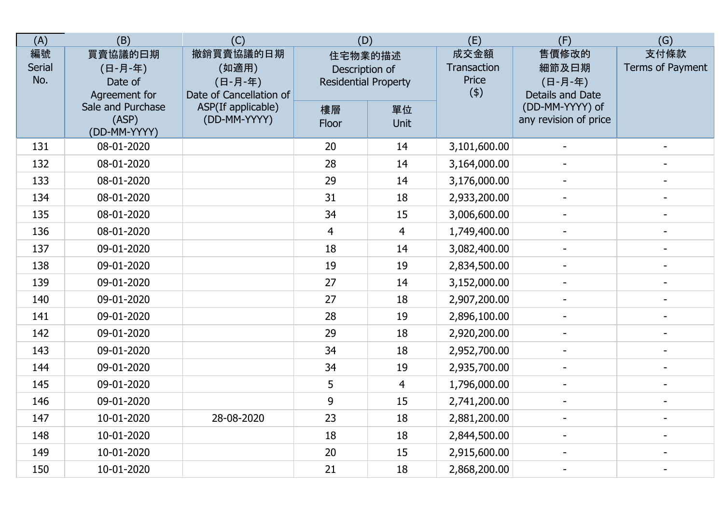| (A)                 | (B)                                            | (C)                                                      | (D)                                                      |                | (E)                                 | (F)                                           | (G)                      |
|---------------------|------------------------------------------------|----------------------------------------------------------|----------------------------------------------------------|----------------|-------------------------------------|-----------------------------------------------|--------------------------|
| 編號<br>Serial<br>No. | 買賣協議的曰期<br>(日-月-年)<br>Date of<br>Agreement for | 撤銷買賣協議的日期<br>(如適用)<br>(日-月-年)<br>Date of Cancellation of | 住宅物業的描述<br>Description of<br><b>Residential Property</b> |                | 成交金額<br>Transaction<br>Price<br>(4) | 售價修改的<br>細節及日期<br>(日-月-年)<br>Details and Date | 支付條款<br>Terms of Payment |
|                     | Sale and Purchase<br>(ASP)<br>(DD-MM-YYYY)     | ASP(If applicable)<br>(DD-MM-YYYY)                       | 樓層<br>Floor                                              | 單位<br>Unit     |                                     | (DD-MM-YYYY) of<br>any revision of price      |                          |
| 131                 | 08-01-2020                                     |                                                          | 20                                                       | 14             | 3,101,600.00                        |                                               |                          |
| 132                 | 08-01-2020                                     |                                                          | 28                                                       | 14             | 3,164,000.00                        |                                               |                          |
| 133                 | 08-01-2020                                     |                                                          | 29                                                       | 14             | 3,176,000.00                        |                                               |                          |
| 134                 | 08-01-2020                                     |                                                          | 31                                                       | 18             | 2,933,200.00                        |                                               |                          |
| 135                 | 08-01-2020                                     |                                                          | 34                                                       | 15             | 3,006,600.00                        | $\sim$                                        | $\blacksquare$           |
| 136                 | 08-01-2020                                     |                                                          | $\overline{4}$                                           | $\overline{4}$ | 1,749,400.00                        |                                               |                          |
| 137                 | 09-01-2020                                     |                                                          | 18                                                       | 14             | 3,082,400.00                        | $\overline{\phantom{a}}$                      | $\overline{\phantom{a}}$ |
| 138                 | 09-01-2020                                     |                                                          | 19                                                       | 19             | 2,834,500.00                        |                                               |                          |
| 139                 | 09-01-2020                                     |                                                          | 27                                                       | 14             | 3,152,000.00                        |                                               |                          |
| 140                 | 09-01-2020                                     |                                                          | 27                                                       | 18             | 2,907,200.00                        |                                               |                          |
| 141                 | 09-01-2020                                     |                                                          | 28                                                       | 19             | 2,896,100.00                        |                                               |                          |
| 142                 | 09-01-2020                                     |                                                          | 29                                                       | 18             | 2,920,200.00                        |                                               |                          |
| 143                 | 09-01-2020                                     |                                                          | 34                                                       | 18             | 2,952,700.00                        | $\overline{\phantom{a}}$                      |                          |
| 144                 | 09-01-2020                                     |                                                          | 34                                                       | 19             | 2,935,700.00                        | $\blacksquare$                                | $\blacksquare$           |
| 145                 | 09-01-2020                                     |                                                          | 5                                                        | $\overline{4}$ | 1,796,000.00                        |                                               |                          |
| 146                 | 09-01-2020                                     |                                                          | 9                                                        | 15             | 2,741,200.00                        |                                               |                          |
| 147                 | 10-01-2020                                     | 28-08-2020                                               | 23                                                       | 18             | 2,881,200.00                        |                                               |                          |
| 148                 | 10-01-2020                                     |                                                          | 18                                                       | 18             | 2,844,500.00                        |                                               |                          |
| 149                 | 10-01-2020                                     |                                                          | 20                                                       | 15             | 2,915,600.00                        |                                               |                          |
| 150                 | 10-01-2020                                     |                                                          | 21                                                       | 18             | 2,868,200.00                        | $\blacksquare$                                | $\overline{\phantom{a}}$ |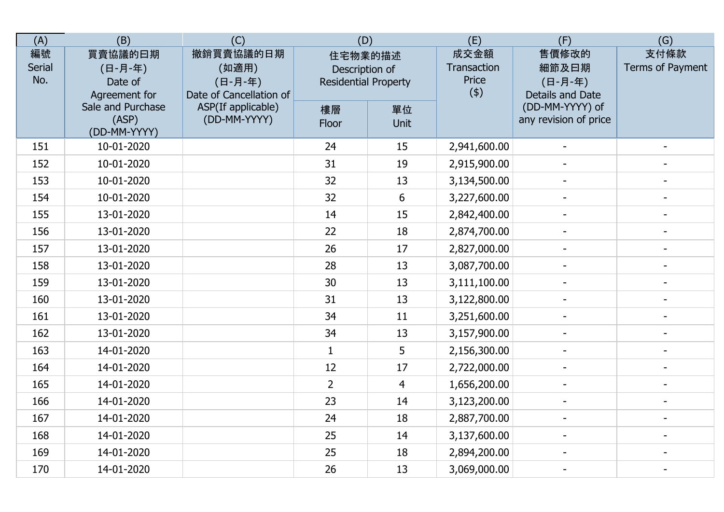| (A)                 | (B)                                            | (C)                                                      | (D)                                                      |                | (E)                                 | (F)                                           | (G)                      |
|---------------------|------------------------------------------------|----------------------------------------------------------|----------------------------------------------------------|----------------|-------------------------------------|-----------------------------------------------|--------------------------|
| 編號<br>Serial<br>No. | 買賣協議的曰期<br>(日-月-年)<br>Date of<br>Agreement for | 撤銷買賣協議的日期<br>(如適用)<br>(日-月-年)<br>Date of Cancellation of | 住宅物業的描述<br>Description of<br><b>Residential Property</b> |                | 成交金額<br>Transaction<br>Price<br>(4) | 售價修改的<br>細節及日期<br>(日-月-年)<br>Details and Date | 支付條款<br>Terms of Payment |
|                     | Sale and Purchase<br>(ASP)<br>(DD-MM-YYYY)     | ASP(If applicable)<br>(DD-MM-YYYY)                       | 樓層<br>Floor                                              | 單位<br>Unit     |                                     | (DD-MM-YYYY) of<br>any revision of price      |                          |
| 151                 | 10-01-2020                                     |                                                          | 24                                                       | 15             | 2,941,600.00                        |                                               |                          |
| 152                 | 10-01-2020                                     |                                                          | 31                                                       | 19             | 2,915,900.00                        |                                               |                          |
| 153                 | 10-01-2020                                     |                                                          | 32                                                       | 13             | 3,134,500.00                        |                                               |                          |
| 154                 | 10-01-2020                                     |                                                          | 32                                                       | 6              | 3,227,600.00                        |                                               |                          |
| 155                 | 13-01-2020                                     |                                                          | 14                                                       | 15             | 2,842,400.00                        | $\sim$                                        | $\blacksquare$           |
| 156                 | 13-01-2020                                     |                                                          | 22                                                       | 18             | 2,874,700.00                        |                                               | $\overline{\phantom{a}}$ |
| 157                 | 13-01-2020                                     |                                                          | 26                                                       | 17             | 2,827,000.00                        | $\overline{\phantom{a}}$                      | $\blacksquare$           |
| 158                 | 13-01-2020                                     |                                                          | 28                                                       | 13             | 3,087,700.00                        |                                               |                          |
| 159                 | 13-01-2020                                     |                                                          | 30                                                       | 13             | 3,111,100.00                        |                                               |                          |
| 160                 | 13-01-2020                                     |                                                          | 31                                                       | 13             | 3,122,800.00                        |                                               |                          |
| 161                 | 13-01-2020                                     |                                                          | 34                                                       | 11             | 3,251,600.00                        |                                               |                          |
| 162                 | 13-01-2020                                     |                                                          | 34                                                       | 13             | 3,157,900.00                        |                                               |                          |
| 163                 | 14-01-2020                                     |                                                          | $\mathbf{1}$                                             | 5              | 2,156,300.00                        | $\overline{\phantom{a}}$                      | $\blacksquare$           |
| 164                 | 14-01-2020                                     |                                                          | 12                                                       | 17             | 2,722,000.00                        | $\blacksquare$                                | $\blacksquare$           |
| 165                 | 14-01-2020                                     |                                                          | $\overline{2}$                                           | $\overline{4}$ | 1,656,200.00                        |                                               |                          |
| 166                 | 14-01-2020                                     |                                                          | 23                                                       | 14             | 3,123,200.00                        | $\overline{\phantom{a}}$                      |                          |
| 167                 | 14-01-2020                                     |                                                          | 24                                                       | 18             | 2,887,700.00                        |                                               |                          |
| 168                 | 14-01-2020                                     |                                                          | 25                                                       | 14             | 3,137,600.00                        |                                               |                          |
| 169                 | 14-01-2020                                     |                                                          | 25                                                       | 18             | 2,894,200.00                        |                                               |                          |
| 170                 | 14-01-2020                                     |                                                          | 26                                                       | 13             | 3,069,000.00                        | $\blacksquare$                                | $\overline{\phantom{a}}$ |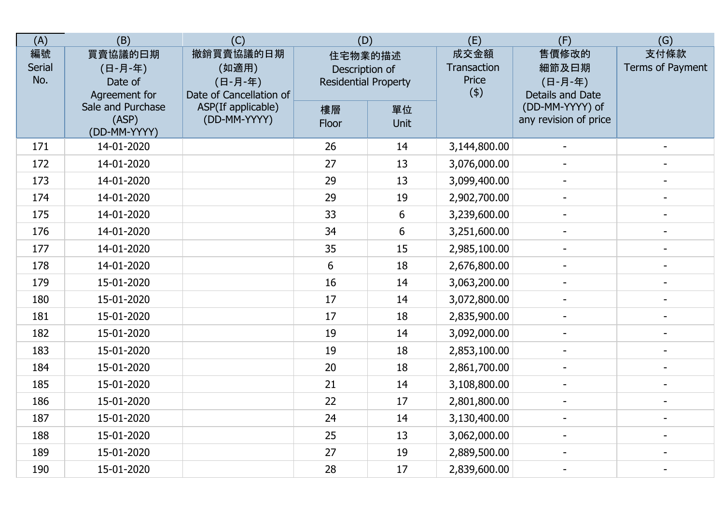| (A)                 | (B)                                            | (C)                                                      | (D)                                                      |            | (E)                                 | (F)                                           | (G)                      |
|---------------------|------------------------------------------------|----------------------------------------------------------|----------------------------------------------------------|------------|-------------------------------------|-----------------------------------------------|--------------------------|
| 編號<br>Serial<br>No. | 買賣協議的曰期<br>(日-月-年)<br>Date of<br>Agreement for | 撤銷買賣協議的日期<br>(如適用)<br>(日-月-年)<br>Date of Cancellation of | 住宅物業的描述<br>Description of<br><b>Residential Property</b> |            | 成交金額<br>Transaction<br>Price<br>(4) | 售價修改的<br>細節及日期<br>(日-月-年)<br>Details and Date | 支付條款<br>Terms of Payment |
|                     | Sale and Purchase<br>(ASP)<br>(DD-MM-YYYY)     | ASP(If applicable)<br>(DD-MM-YYYY)                       | 樓層<br>Floor                                              | 單位<br>Unit |                                     | (DD-MM-YYYY) of<br>any revision of price      |                          |
| 171                 | 14-01-2020                                     |                                                          | 26                                                       | 14         | 3,144,800.00                        |                                               |                          |
| 172                 | 14-01-2020                                     |                                                          | 27                                                       | 13         | 3,076,000.00                        |                                               |                          |
| 173                 | 14-01-2020                                     |                                                          | 29                                                       | 13         | 3,099,400.00                        |                                               |                          |
| 174                 | 14-01-2020                                     |                                                          | 29                                                       | 19         | 2,902,700.00                        |                                               |                          |
| 175                 | 14-01-2020                                     |                                                          | 33                                                       | 6          | 3,239,600.00                        | $\sim$                                        | $\blacksquare$           |
| 176                 | 14-01-2020                                     |                                                          | 34                                                       | $6\,$      | 3,251,600.00                        |                                               |                          |
| 177                 | 14-01-2020                                     |                                                          | 35                                                       | 15         | 2,985,100.00                        | $\overline{\phantom{a}}$                      | $\overline{\phantom{a}}$ |
| 178                 | 14-01-2020                                     |                                                          | 6                                                        | 18         | 2,676,800.00                        |                                               |                          |
| 179                 | 15-01-2020                                     |                                                          | 16                                                       | 14         | 3,063,200.00                        |                                               |                          |
| 180                 | 15-01-2020                                     |                                                          | 17                                                       | 14         | 3,072,800.00                        |                                               |                          |
| 181                 | 15-01-2020                                     |                                                          | 17                                                       | 18         | 2,835,900.00                        |                                               |                          |
| 182                 | 15-01-2020                                     |                                                          | 19                                                       | 14         | 3,092,000.00                        |                                               |                          |
| 183                 | 15-01-2020                                     |                                                          | 19                                                       | 18         | 2,853,100.00                        | $\overline{\phantom{a}}$                      |                          |
| 184                 | 15-01-2020                                     |                                                          | 20                                                       | 18         | 2,861,700.00                        | $\blacksquare$                                | $\blacksquare$           |
| 185                 | 15-01-2020                                     |                                                          | 21                                                       | 14         | 3,108,800.00                        |                                               |                          |
| 186                 | 15-01-2020                                     |                                                          | 22                                                       | 17         | 2,801,800.00                        | $\overline{\phantom{a}}$                      |                          |
| 187                 | 15-01-2020                                     |                                                          | 24                                                       | 14         | 3,130,400.00                        |                                               |                          |
| 188                 | 15-01-2020                                     |                                                          | 25                                                       | 13         | 3,062,000.00                        |                                               |                          |
| 189                 | 15-01-2020                                     |                                                          | 27                                                       | 19         | 2,889,500.00                        |                                               |                          |
| 190                 | 15-01-2020                                     |                                                          | 28                                                       | 17         | 2,839,600.00                        | $\blacksquare$                                | $\overline{\phantom{a}}$ |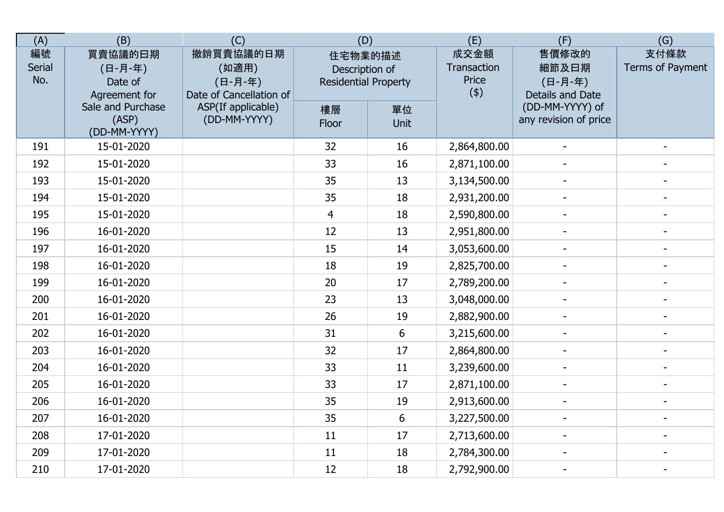| (A)                 | (B)                                            | (C)                                                      | (D)                                                      |                | (E)                                 | (F)                                           | (G)                      |
|---------------------|------------------------------------------------|----------------------------------------------------------|----------------------------------------------------------|----------------|-------------------------------------|-----------------------------------------------|--------------------------|
| 編號<br>Serial<br>No. | 買賣協議的曰期<br>(日-月-年)<br>Date of<br>Agreement for | 撤銷買賣協議的日期<br>(如適用)<br>(日-月-年)<br>Date of Cancellation of | 住宅物業的描述<br>Description of<br><b>Residential Property</b> |                | 成交金額<br>Transaction<br>Price<br>(4) | 售價修改的<br>細節及日期<br>(日-月-年)<br>Details and Date | 支付條款<br>Terms of Payment |
|                     | Sale and Purchase<br>(ASP)<br>(DD-MM-YYYY)     | ASP(If applicable)<br>(DD-MM-YYYY)                       | 樓層<br>Floor                                              | 單位<br>Unit     |                                     | (DD-MM-YYYY) of<br>any revision of price      |                          |
| 191                 | 15-01-2020                                     |                                                          | 32                                                       | 16             | 2,864,800.00                        |                                               |                          |
| 192                 | 15-01-2020                                     |                                                          | 33                                                       | 16             | 2,871,100.00                        |                                               |                          |
| 193                 | 15-01-2020                                     |                                                          | 35                                                       | 13             | 3,134,500.00                        |                                               |                          |
| 194                 | 15-01-2020                                     |                                                          | 35                                                       | 18             | 2,931,200.00                        |                                               |                          |
| 195                 | 15-01-2020                                     |                                                          | $\overline{4}$                                           | 18             | 2,590,800.00                        | $\sim$                                        |                          |
| 196                 | 16-01-2020                                     |                                                          | 12                                                       | 13             | 2,951,800.00                        |                                               |                          |
| 197                 | 16-01-2020                                     |                                                          | 15                                                       | 14             | 3,053,600.00                        | $\overline{\phantom{a}}$                      | $\blacksquare$           |
| 198                 | 16-01-2020                                     |                                                          | 18                                                       | 19             | 2,825,700.00                        |                                               |                          |
| 199                 | 16-01-2020                                     |                                                          | 20                                                       | 17             | 2,789,200.00                        |                                               |                          |
| 200                 | 16-01-2020                                     |                                                          | 23                                                       | 13             | 3,048,000.00                        |                                               |                          |
| 201                 | 16-01-2020                                     |                                                          | 26                                                       | 19             | 2,882,900.00                        |                                               |                          |
| 202                 | 16-01-2020                                     |                                                          | 31                                                       | $6\phantom{1}$ | 3,215,600.00                        |                                               |                          |
| 203                 | 16-01-2020                                     |                                                          | 32                                                       | 17             | 2,864,800.00                        | $\overline{\phantom{a}}$                      |                          |
| 204                 | 16-01-2020                                     |                                                          | 33                                                       | 11             | 3,239,600.00                        | $\blacksquare$                                | $\blacksquare$           |
| 205                 | 16-01-2020                                     |                                                          | 33                                                       | 17             | 2,871,100.00                        |                                               |                          |
| 206                 | 16-01-2020                                     |                                                          | 35                                                       | 19             | 2,913,600.00                        |                                               |                          |
| 207                 | 16-01-2020                                     |                                                          | 35                                                       | $6\phantom{1}$ | 3,227,500.00                        |                                               |                          |
| 208                 | 17-01-2020                                     |                                                          | 11                                                       | 17             | 2,713,600.00                        |                                               |                          |
| 209                 | 17-01-2020                                     |                                                          | 11                                                       | 18             | 2,784,300.00                        |                                               |                          |
| 210                 | 17-01-2020                                     |                                                          | 12                                                       | 18             | 2,792,900.00                        | $\blacksquare$                                | $\overline{\phantom{a}}$ |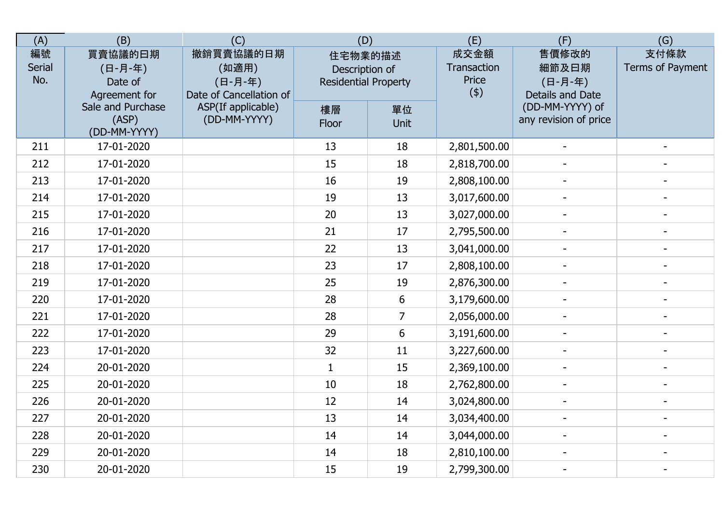| (A)                 | (B)                                            | (C)                                                      | (D)                                                      |                | (E)                                 | (F)                                           | (G)                      |
|---------------------|------------------------------------------------|----------------------------------------------------------|----------------------------------------------------------|----------------|-------------------------------------|-----------------------------------------------|--------------------------|
| 編號<br>Serial<br>No. | 買賣協議的曰期<br>(日-月-年)<br>Date of<br>Agreement for | 撤銷買賣協議的日期<br>(如適用)<br>(日-月-年)<br>Date of Cancellation of | 住宅物業的描述<br>Description of<br><b>Residential Property</b> |                | 成交金額<br>Transaction<br>Price<br>(4) | 售價修改的<br>細節及日期<br>(日-月-年)<br>Details and Date | 支付條款<br>Terms of Payment |
|                     | Sale and Purchase<br>(ASP)<br>(DD-MM-YYYY)     | ASP(If applicable)<br>(DD-MM-YYYY)                       | 樓層<br>Floor                                              | 單位<br>Unit     |                                     | (DD-MM-YYYY) of<br>any revision of price      |                          |
| 211                 | 17-01-2020                                     |                                                          | 13                                                       | 18             | 2,801,500.00                        |                                               |                          |
| 212                 | 17-01-2020                                     |                                                          | 15                                                       | 18             | 2,818,700.00                        |                                               |                          |
| 213                 | 17-01-2020                                     |                                                          | 16                                                       | 19             | 2,808,100.00                        |                                               |                          |
| 214                 | 17-01-2020                                     |                                                          | 19                                                       | 13             | 3,017,600.00                        |                                               |                          |
| 215                 | 17-01-2020                                     |                                                          | 20                                                       | 13             | 3,027,000.00                        | $\sim$                                        |                          |
| 216                 | 17-01-2020                                     |                                                          | 21                                                       | 17             | 2,795,500.00                        |                                               |                          |
| 217                 | 17-01-2020                                     |                                                          | 22                                                       | 13             | 3,041,000.00                        | $\blacksquare$                                | $\blacksquare$           |
| 218                 | 17-01-2020                                     |                                                          | 23                                                       | 17             | 2,808,100.00                        |                                               |                          |
| 219                 | 17-01-2020                                     |                                                          | 25                                                       | 19             | 2,876,300.00                        |                                               |                          |
| 220                 | 17-01-2020                                     |                                                          | 28                                                       | 6              | 3,179,600.00                        |                                               |                          |
| 221                 | 17-01-2020                                     |                                                          | 28                                                       | $\overline{7}$ | 2,056,000.00                        |                                               |                          |
| 222                 | 17-01-2020                                     |                                                          | 29                                                       | 6              | 3,191,600.00                        |                                               |                          |
| 223                 | 17-01-2020                                     |                                                          | 32                                                       | 11             | 3,227,600.00                        | $\overline{\phantom{a}}$                      |                          |
| 224                 | 20-01-2020                                     |                                                          | $\mathbf{1}$                                             | 15             | 2,369,100.00                        | $\blacksquare$                                | $\blacksquare$           |
| 225                 | 20-01-2020                                     |                                                          | 10                                                       | 18             | 2,762,800.00                        |                                               |                          |
| 226                 | 20-01-2020                                     |                                                          | 12                                                       | 14             | 3,024,800.00                        |                                               |                          |
| 227                 | 20-01-2020                                     |                                                          | 13                                                       | 14             | 3,034,400.00                        |                                               |                          |
| 228                 | 20-01-2020                                     |                                                          | 14                                                       | 14             | 3,044,000.00                        |                                               |                          |
| 229                 | 20-01-2020                                     |                                                          | 14                                                       | 18             | 2,810,100.00                        |                                               |                          |
| 230                 | 20-01-2020                                     |                                                          | 15                                                       | 19             | 2,799,300.00                        | $\blacksquare$                                | $\overline{\phantom{a}}$ |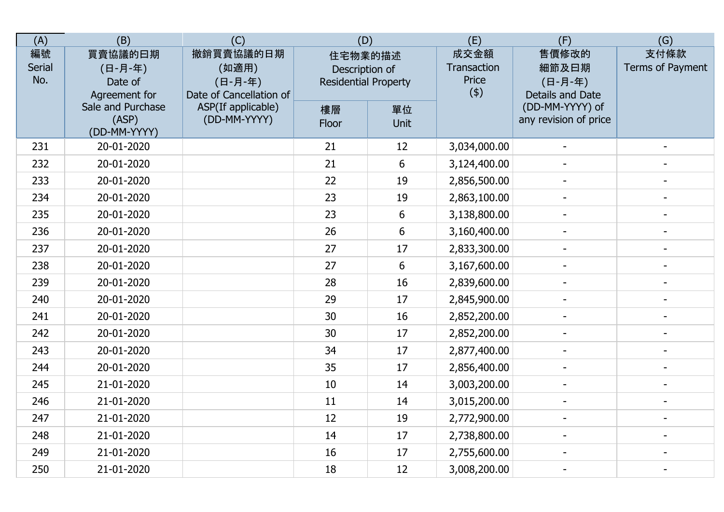| (A)                 | (B)                                            | (C)                                                      | (D)                                                      |            | (E)                                 | (F)                                           | (G)                      |
|---------------------|------------------------------------------------|----------------------------------------------------------|----------------------------------------------------------|------------|-------------------------------------|-----------------------------------------------|--------------------------|
| 編號<br>Serial<br>No. | 買賣協議的曰期<br>(日-月-年)<br>Date of<br>Agreement for | 撤銷買賣協議的日期<br>(如適用)<br>(日-月-年)<br>Date of Cancellation of | 住宅物業的描述<br>Description of<br><b>Residential Property</b> |            | 成交金額<br>Transaction<br>Price<br>(4) | 售價修改的<br>細節及日期<br>(日-月-年)<br>Details and Date | 支付條款<br>Terms of Payment |
|                     | Sale and Purchase<br>(ASP)<br>(DD-MM-YYYY)     | ASP(If applicable)<br>(DD-MM-YYYY)                       | 樓層<br>Floor                                              | 單位<br>Unit |                                     | (DD-MM-YYYY) of<br>any revision of price      |                          |
| 231                 | 20-01-2020                                     |                                                          | 21                                                       | 12         | 3,034,000.00                        |                                               |                          |
| 232                 | 20-01-2020                                     |                                                          | 21                                                       | $6\,$      | 3,124,400.00                        |                                               |                          |
| 233                 | 20-01-2020                                     |                                                          | 22                                                       | 19         | 2,856,500.00                        |                                               |                          |
| 234                 | 20-01-2020                                     |                                                          | 23                                                       | 19         | 2,863,100.00                        |                                               |                          |
| 235                 | 20-01-2020                                     |                                                          | 23                                                       | 6          | 3,138,800.00                        | $\sim$                                        |                          |
| 236                 | 20-01-2020                                     |                                                          | 26                                                       | $6\,$      | 3,160,400.00                        |                                               |                          |
| 237                 | 20-01-2020                                     |                                                          | 27                                                       | 17         | 2,833,300.00                        | $\blacksquare$                                | $\blacksquare$           |
| 238                 | 20-01-2020                                     |                                                          | 27                                                       | 6          | 3,167,600.00                        |                                               |                          |
| 239                 | 20-01-2020                                     |                                                          | 28                                                       | 16         | 2,839,600.00                        |                                               |                          |
| 240                 | 20-01-2020                                     |                                                          | 29                                                       | 17         | 2,845,900.00                        |                                               |                          |
| 241                 | 20-01-2020                                     |                                                          | 30                                                       | 16         | 2,852,200.00                        |                                               |                          |
| 242                 | 20-01-2020                                     |                                                          | 30                                                       | 17         | 2,852,200.00                        |                                               |                          |
| 243                 | 20-01-2020                                     |                                                          | 34                                                       | 17         | 2,877,400.00                        | $\overline{\phantom{a}}$                      |                          |
| 244                 | 20-01-2020                                     |                                                          | 35                                                       | 17         | 2,856,400.00                        | $\blacksquare$                                | $\blacksquare$           |
| 245                 | 21-01-2020                                     |                                                          | 10                                                       | 14         | 3,003,200.00                        |                                               |                          |
| 246                 | 21-01-2020                                     |                                                          | 11                                                       | 14         | 3,015,200.00                        |                                               |                          |
| 247                 | 21-01-2020                                     |                                                          | 12                                                       | 19         | 2,772,900.00                        |                                               |                          |
| 248                 | 21-01-2020                                     |                                                          | 14                                                       | 17         | 2,738,800.00                        |                                               |                          |
| 249                 | 21-01-2020                                     |                                                          | 16                                                       | 17         | 2,755,600.00                        |                                               |                          |
| 250                 | 21-01-2020                                     |                                                          | 18                                                       | 12         | 3,008,200.00                        | $\blacksquare$                                | $\overline{\phantom{a}}$ |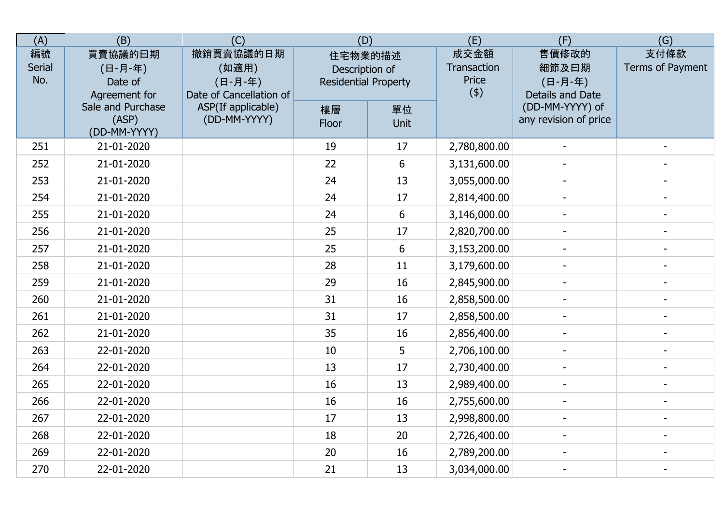| (A)                        | (B)                                            | (C)                                                      | (D)                                                      |            | (E)                                 | (F)                                           | (G)                      |
|----------------------------|------------------------------------------------|----------------------------------------------------------|----------------------------------------------------------|------------|-------------------------------------|-----------------------------------------------|--------------------------|
| 編號<br><b>Serial</b><br>No. | 買賣協議的曰期<br>(日-月-年)<br>Date of<br>Agreement for | 撤銷買賣協議的日期<br>(如適用)<br>(日-月-年)<br>Date of Cancellation of | 住宅物業的描述<br>Description of<br><b>Residential Property</b> |            | 成交金額<br>Transaction<br>Price<br>(4) | 售價修改的<br>細節及日期<br>(日-月-年)<br>Details and Date | 支付條款<br>Terms of Payment |
|                            | Sale and Purchase<br>(ASP)<br>(DD-MM-YYYY)     | ASP(If applicable)<br>(DD-MM-YYYY)                       | 樓層<br>Floor                                              | 單位<br>Unit |                                     | (DD-MM-YYYY) of<br>any revision of price      |                          |
| 251                        | 21-01-2020                                     |                                                          | 19                                                       | 17         | 2,780,800.00                        |                                               |                          |
| 252                        | 21-01-2020                                     |                                                          | 22                                                       | 6          | 3,131,600.00                        |                                               |                          |
| 253                        | 21-01-2020                                     |                                                          | 24                                                       | 13         | 3,055,000.00                        |                                               |                          |
| 254                        | 21-01-2020                                     |                                                          | 24                                                       | 17         | 2,814,400.00                        |                                               |                          |
| 255                        | 21-01-2020                                     |                                                          | 24                                                       | 6          | 3,146,000.00                        | $\overline{a}$                                |                          |
| 256                        | 21-01-2020                                     |                                                          | 25                                                       | 17         | 2,820,700.00                        |                                               |                          |
| 257                        | 21-01-2020                                     |                                                          | 25                                                       | 6          | 3,153,200.00                        | $\overline{\phantom{0}}$                      | $\blacksquare$           |
| 258                        | 21-01-2020                                     |                                                          | 28                                                       | 11         | 3,179,600.00                        |                                               |                          |
| 259                        | 21-01-2020                                     |                                                          | 29                                                       | 16         | 2,845,900.00                        |                                               |                          |
| 260                        | 21-01-2020                                     |                                                          | 31                                                       | 16         | 2,858,500.00                        |                                               |                          |
| 261                        | 21-01-2020                                     |                                                          | 31                                                       | 17         | 2,858,500.00                        |                                               |                          |
| 262                        | 21-01-2020                                     |                                                          | 35                                                       | 16         | 2,856,400.00                        |                                               |                          |
| 263                        | 22-01-2020                                     |                                                          | 10                                                       | 5          | 2,706,100.00                        | $\overline{\phantom{0}}$                      | $\blacksquare$           |
| 264                        | 22-01-2020                                     |                                                          | 13                                                       | 17         | 2,730,400.00                        | $\overline{\phantom{a}}$                      | $\overline{a}$           |
| 265                        | 22-01-2020                                     |                                                          | 16                                                       | 13         | 2,989,400.00                        |                                               |                          |
| 266                        | 22-01-2020                                     |                                                          | 16                                                       | 16         | 2,755,600.00                        |                                               |                          |
| 267                        | 22-01-2020                                     |                                                          | 17                                                       | 13         | 2,998,800.00                        |                                               |                          |
| 268                        | 22-01-2020                                     |                                                          | 18                                                       | 20         | 2,726,400.00                        |                                               |                          |
| 269                        | 22-01-2020                                     |                                                          | 20                                                       | 16         | 2,789,200.00                        |                                               |                          |
| 270                        | 22-01-2020                                     |                                                          | 21                                                       | 13         | 3,034,000.00                        | $\blacksquare$                                | $\blacksquare$           |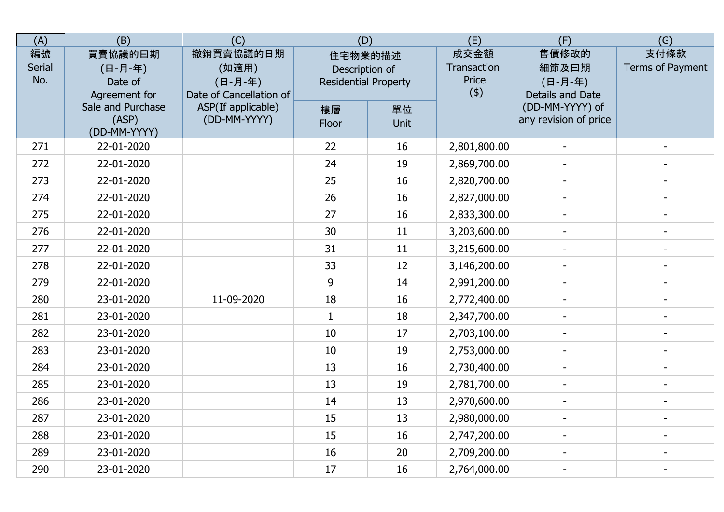| (A)                        | (B)                                            | (C)                                                      | (D)                                                      |            | (E)                                 | (F)                                           | (G)                      |
|----------------------------|------------------------------------------------|----------------------------------------------------------|----------------------------------------------------------|------------|-------------------------------------|-----------------------------------------------|--------------------------|
| 編號<br><b>Serial</b><br>No. | 買賣協議的曰期<br>(日-月-年)<br>Date of<br>Agreement for | 撤銷買賣協議的日期<br>(如適用)<br>(日-月-年)<br>Date of Cancellation of | 住宅物業的描述<br>Description of<br><b>Residential Property</b> |            | 成交金額<br>Transaction<br>Price<br>(4) | 售價修改的<br>細節及日期<br>(日-月-年)<br>Details and Date | 支付條款<br>Terms of Payment |
|                            | Sale and Purchase<br>(ASP)<br>(DD-MM-YYYY)     | ASP(If applicable)<br>(DD-MM-YYYY)                       | 樓層<br>Floor                                              | 單位<br>Unit |                                     | (DD-MM-YYYY) of<br>any revision of price      |                          |
| 271                        | 22-01-2020                                     |                                                          | 22                                                       | 16         | 2,801,800.00                        |                                               |                          |
| 272                        | 22-01-2020                                     |                                                          | 24                                                       | 19         | 2,869,700.00                        |                                               |                          |
| 273                        | 22-01-2020                                     |                                                          | 25                                                       | 16         | 2,820,700.00                        |                                               |                          |
| 274                        | 22-01-2020                                     |                                                          | 26                                                       | 16         | 2,827,000.00                        |                                               |                          |
| 275                        | 22-01-2020                                     |                                                          | 27                                                       | 16         | 2,833,300.00                        | $\overline{a}$                                |                          |
| 276                        | 22-01-2020                                     |                                                          | 30                                                       | 11         | 3,203,600.00                        |                                               |                          |
| 277                        | 22-01-2020                                     |                                                          | 31                                                       | 11         | 3,215,600.00                        | $\overline{\phantom{0}}$                      | $\blacksquare$           |
| 278                        | 22-01-2020                                     |                                                          | 33                                                       | 12         | 3,146,200.00                        |                                               |                          |
| 279                        | 22-01-2020                                     |                                                          | 9                                                        | 14         | 2,991,200.00                        |                                               |                          |
| 280                        | 23-01-2020                                     | 11-09-2020                                               | 18                                                       | 16         | 2,772,400.00                        |                                               |                          |
| 281                        | 23-01-2020                                     |                                                          | $\mathbf{1}$                                             | 18         | 2,347,700.00                        |                                               |                          |
| 282                        | 23-01-2020                                     |                                                          | 10                                                       | 17         | 2,703,100.00                        |                                               |                          |
| 283                        | 23-01-2020                                     |                                                          | 10                                                       | 19         | 2,753,000.00                        | $\overline{\phantom{0}}$                      | $\blacksquare$           |
| 284                        | 23-01-2020                                     |                                                          | 13                                                       | 16         | 2,730,400.00                        | $\overline{\phantom{a}}$                      | $\overline{a}$           |
| 285                        | 23-01-2020                                     |                                                          | 13                                                       | 19         | 2,781,700.00                        |                                               |                          |
| 286                        | 23-01-2020                                     |                                                          | 14                                                       | 13         | 2,970,600.00                        |                                               |                          |
| 287                        | 23-01-2020                                     |                                                          | 15                                                       | 13         | 2,980,000.00                        |                                               |                          |
| 288                        | 23-01-2020                                     |                                                          | 15                                                       | 16         | 2,747,200.00                        |                                               |                          |
| 289                        | 23-01-2020                                     |                                                          | 16                                                       | 20         | 2,709,200.00                        |                                               |                          |
| 290                        | 23-01-2020                                     |                                                          | 17                                                       | 16         | 2,764,000.00                        | $\blacksquare$                                | $\blacksquare$           |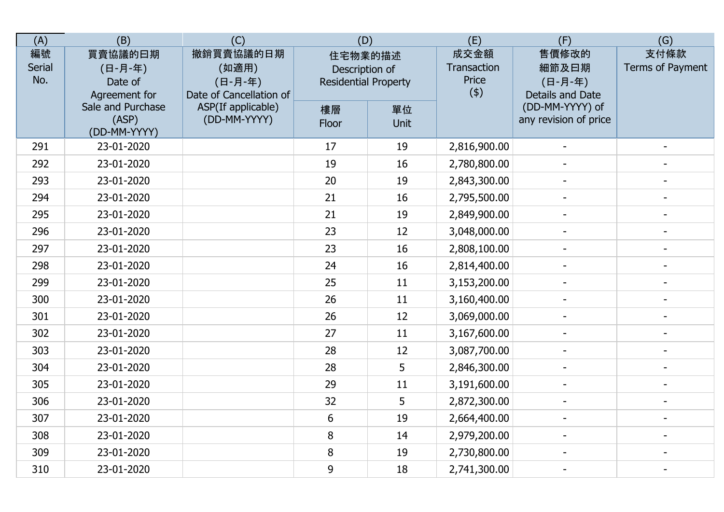| (A)                 | (B)                                            | (C)                                                      | (D)                                                      |            | (E)                                 | (F)                                           | (G)                      |
|---------------------|------------------------------------------------|----------------------------------------------------------|----------------------------------------------------------|------------|-------------------------------------|-----------------------------------------------|--------------------------|
| 編號<br>Serial<br>No. | 買賣協議的曰期<br>(日-月-年)<br>Date of<br>Agreement for | 撤銷買賣協議的日期<br>(如適用)<br>(日-月-年)<br>Date of Cancellation of | 住宅物業的描述<br>Description of<br><b>Residential Property</b> |            | 成交金額<br>Transaction<br>Price<br>(4) | 售價修改的<br>細節及日期<br>(日-月-年)<br>Details and Date | 支付條款<br>Terms of Payment |
|                     | Sale and Purchase<br>(ASP)<br>(DD-MM-YYYY)     | ASP(If applicable)<br>(DD-MM-YYYY)                       | 樓層<br>Floor                                              | 單位<br>Unit |                                     | (DD-MM-YYYY) of<br>any revision of price      |                          |
| 291                 | 23-01-2020                                     |                                                          | 17                                                       | 19         | 2,816,900.00                        |                                               |                          |
| 292                 | 23-01-2020                                     |                                                          | 19                                                       | 16         | 2,780,800.00                        |                                               |                          |
| 293                 | 23-01-2020                                     |                                                          | 20                                                       | 19         | 2,843,300.00                        |                                               |                          |
| 294                 | 23-01-2020                                     |                                                          | 21                                                       | 16         | 2,795,500.00                        |                                               |                          |
| 295                 | 23-01-2020                                     |                                                          | 21                                                       | 19         | 2,849,900.00                        |                                               |                          |
| 296                 | 23-01-2020                                     |                                                          | 23                                                       | 12         | 3,048,000.00                        | $\overline{\phantom{a}}$                      |                          |
| 297                 | 23-01-2020                                     |                                                          | 23                                                       | 16         | 2,808,100.00                        | $\blacksquare$                                | $\blacksquare$           |
| 298                 | 23-01-2020                                     |                                                          | 24                                                       | 16         | 2,814,400.00                        |                                               |                          |
| 299                 | 23-01-2020                                     |                                                          | 25                                                       | 11         | 3,153,200.00                        |                                               |                          |
| 300                 | 23-01-2020                                     |                                                          | 26                                                       | 11         | 3,160,400.00                        |                                               |                          |
| 301                 | 23-01-2020                                     |                                                          | 26                                                       | 12         | 3,069,000.00                        |                                               |                          |
| 302                 | 23-01-2020                                     |                                                          | 27                                                       | 11         | 3,167,600.00                        |                                               |                          |
| 303                 | 23-01-2020                                     |                                                          | 28                                                       | 12         | 3,087,700.00                        | $\overline{\phantom{a}}$                      |                          |
| 304                 | 23-01-2020                                     |                                                          | 28                                                       | 5          | 2,846,300.00                        | $\blacksquare$                                | $\overline{\phantom{a}}$ |
| 305                 | 23-01-2020                                     |                                                          | 29                                                       | 11         | 3,191,600.00                        | $\blacksquare$                                |                          |
| 306                 | 23-01-2020                                     |                                                          | 32                                                       | 5          | 2,872,300.00                        | $\sim$                                        |                          |
| 307                 | 23-01-2020                                     |                                                          | 6                                                        | 19         | 2,664,400.00                        |                                               |                          |
| 308                 | 23-01-2020                                     |                                                          | 8                                                        | 14         | 2,979,200.00                        |                                               |                          |
| 309                 | 23-01-2020                                     |                                                          | 8                                                        | 19         | 2,730,800.00                        |                                               |                          |
| 310                 | 23-01-2020                                     |                                                          | 9                                                        | 18         | 2,741,300.00                        | $\blacksquare$                                | $\overline{\phantom{a}}$ |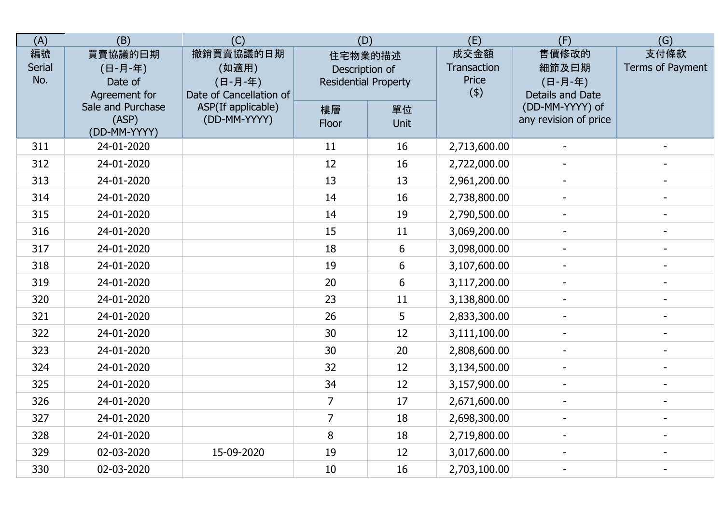| (A)                        | (B)                                            | (C)                                                      | (D)                                                      |            | (E)                                 | (F)                                           | (G)                      |
|----------------------------|------------------------------------------------|----------------------------------------------------------|----------------------------------------------------------|------------|-------------------------------------|-----------------------------------------------|--------------------------|
| 編號<br><b>Serial</b><br>No. | 買賣協議的曰期<br>(日-月-年)<br>Date of<br>Agreement for | 撤銷買賣協議的日期<br>(如適用)<br>(日-月-年)<br>Date of Cancellation of | 住宅物業的描述<br>Description of<br><b>Residential Property</b> |            | 成交金額<br>Transaction<br>Price<br>(4) | 售價修改的<br>細節及日期<br>(日-月-年)<br>Details and Date | 支付條款<br>Terms of Payment |
|                            | Sale and Purchase<br>(ASP)<br>(DD-MM-YYYY)     | ASP(If applicable)<br>(DD-MM-YYYY)                       | 樓層<br>Floor                                              | 單位<br>Unit |                                     | (DD-MM-YYYY) of<br>any revision of price      |                          |
| 311                        | 24-01-2020                                     |                                                          | 11                                                       | 16         | 2,713,600.00                        |                                               |                          |
| 312                        | 24-01-2020                                     |                                                          | 12                                                       | 16         | 2,722,000.00                        |                                               |                          |
| 313                        | 24-01-2020                                     |                                                          | 13                                                       | 13         | 2,961,200.00                        |                                               |                          |
| 314                        | 24-01-2020                                     |                                                          | 14                                                       | 16         | 2,738,800.00                        |                                               |                          |
| 315                        | 24-01-2020                                     |                                                          | 14                                                       | 19         | 2,790,500.00                        | $\overline{a}$                                |                          |
| 316                        | 24-01-2020                                     |                                                          | 15                                                       | 11         | 3,069,200.00                        |                                               |                          |
| 317                        | 24-01-2020                                     |                                                          | 18                                                       | 6          | 3,098,000.00                        | $\sim$                                        | $\blacksquare$           |
| 318                        | 24-01-2020                                     |                                                          | 19                                                       | 6          | 3,107,600.00                        |                                               |                          |
| 319                        | 24-01-2020                                     |                                                          | 20                                                       | 6          | 3,117,200.00                        | $\blacksquare$                                |                          |
| 320                        | 24-01-2020                                     |                                                          | 23                                                       | 11         | 3,138,800.00                        |                                               |                          |
| 321                        | 24-01-2020                                     |                                                          | 26                                                       | 5          | 2,833,300.00                        |                                               |                          |
| 322                        | 24-01-2020                                     |                                                          | 30                                                       | 12         | 3,111,100.00                        |                                               |                          |
| 323                        | 24-01-2020                                     |                                                          | 30                                                       | 20         | 2,808,600.00                        | $\overline{\phantom{a}}$                      |                          |
| 324                        | 24-01-2020                                     |                                                          | 32                                                       | 12         | 3,134,500.00                        | $\blacksquare$                                | $\blacksquare$           |
| 325                        | 24-01-2020                                     |                                                          | 34                                                       | 12         | 3,157,900.00                        |                                               | $\overline{\phantom{a}}$ |
| 326                        | 24-01-2020                                     |                                                          | $\overline{7}$                                           | 17         | 2,671,600.00                        | $\blacksquare$                                |                          |
| 327                        | 24-01-2020                                     |                                                          | $\overline{7}$                                           | 18         | 2,698,300.00                        |                                               |                          |
| 328                        | 24-01-2020                                     |                                                          | 8                                                        | 18         | 2,719,800.00                        |                                               |                          |
| 329                        | 02-03-2020                                     | 15-09-2020                                               | 19                                                       | 12         | 3,017,600.00                        |                                               |                          |
| 330                        | 02-03-2020                                     |                                                          | 10                                                       | 16         | 2,703,100.00                        |                                               |                          |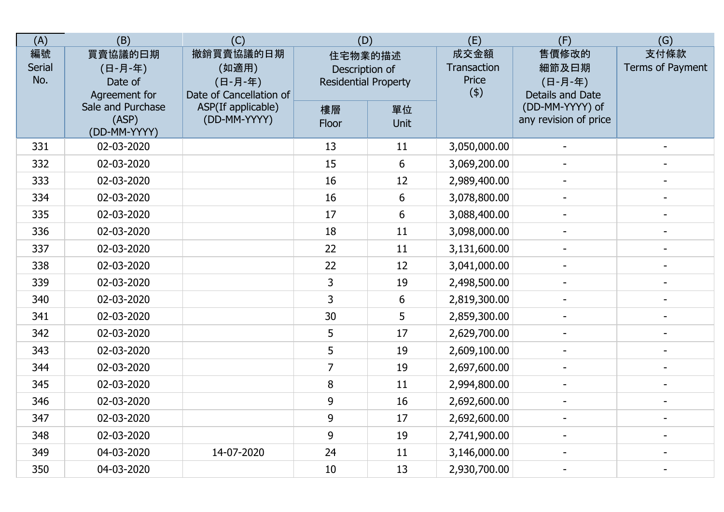| (A)                        | (B)                                            | (C)                                                      | (D)                                                      |                | (E)                                 | (F)                                           | (G)                      |
|----------------------------|------------------------------------------------|----------------------------------------------------------|----------------------------------------------------------|----------------|-------------------------------------|-----------------------------------------------|--------------------------|
| 編號<br><b>Serial</b><br>No. | 買賣協議的曰期<br>(日-月-年)<br>Date of<br>Agreement for | 撤銷買賣協議的日期<br>(如適用)<br>(日-月-年)<br>Date of Cancellation of | 住宅物業的描述<br>Description of<br><b>Residential Property</b> |                | 成交金額<br>Transaction<br>Price<br>(4) | 售價修改的<br>細節及日期<br>(日-月-年)<br>Details and Date | 支付條款<br>Terms of Payment |
|                            | Sale and Purchase<br>(ASP)<br>(DD-MM-YYYY)     | ASP(If applicable)<br>(DD-MM-YYYY)                       | 樓層<br>Floor                                              | 單位<br>Unit     |                                     | (DD-MM-YYYY) of<br>any revision of price      |                          |
| 331                        | 02-03-2020                                     |                                                          | 13                                                       | 11             | 3,050,000.00                        |                                               |                          |
| 332                        | 02-03-2020                                     |                                                          | 15                                                       | $6\phantom{1}$ | 3,069,200.00                        |                                               |                          |
| 333                        | 02-03-2020                                     |                                                          | 16                                                       | 12             | 2,989,400.00                        |                                               |                          |
| 334                        | 02-03-2020                                     |                                                          | 16                                                       | $6\phantom{1}$ | 3,078,800.00                        |                                               |                          |
| 335                        | 02-03-2020                                     |                                                          | 17                                                       | $6\phantom{1}$ | 3,088,400.00                        | $\overline{a}$                                |                          |
| 336                        | 02-03-2020                                     |                                                          | 18                                                       | 11             | 3,098,000.00                        |                                               |                          |
| 337                        | 02-03-2020                                     |                                                          | 22                                                       | 11             | 3,131,600.00                        |                                               | $\overline{a}$           |
| 338                        | 02-03-2020                                     |                                                          | 22                                                       | 12             | 3,041,000.00                        |                                               |                          |
| 339                        | 02-03-2020                                     |                                                          | 3                                                        | 19             | 2,498,500.00                        |                                               |                          |
| 340                        | 02-03-2020                                     |                                                          | 3                                                        | 6              | 2,819,300.00                        |                                               |                          |
| 341                        | 02-03-2020                                     |                                                          | 30                                                       | 5              | 2,859,300.00                        |                                               |                          |
| 342                        | 02-03-2020                                     |                                                          | 5                                                        | 17             | 2,629,700.00                        |                                               |                          |
| 343                        | 02-03-2020                                     |                                                          | 5                                                        | 19             | 2,609,100.00                        | $\overline{\phantom{a}}$                      |                          |
| 344                        | 02-03-2020                                     |                                                          | $\overline{7}$                                           | 19             | 2,697,600.00                        | $\blacksquare$                                | $\blacksquare$           |
| 345                        | 02-03-2020                                     |                                                          | 8                                                        | 11             | 2,994,800.00                        |                                               | $\overline{\phantom{a}}$ |
| 346                        | 02-03-2020                                     |                                                          | 9                                                        | 16             | 2,692,600.00                        |                                               |                          |
| 347                        | 02-03-2020                                     |                                                          | 9                                                        | 17             | 2,692,600.00                        |                                               |                          |
| 348                        | 02-03-2020                                     |                                                          | 9                                                        | 19             | 2,741,900.00                        |                                               |                          |
| 349                        | 04-03-2020                                     | 14-07-2020                                               | 24                                                       | 11             | 3,146,000.00                        |                                               |                          |
| 350                        | 04-03-2020                                     |                                                          | 10                                                       | 13             | 2,930,700.00                        |                                               |                          |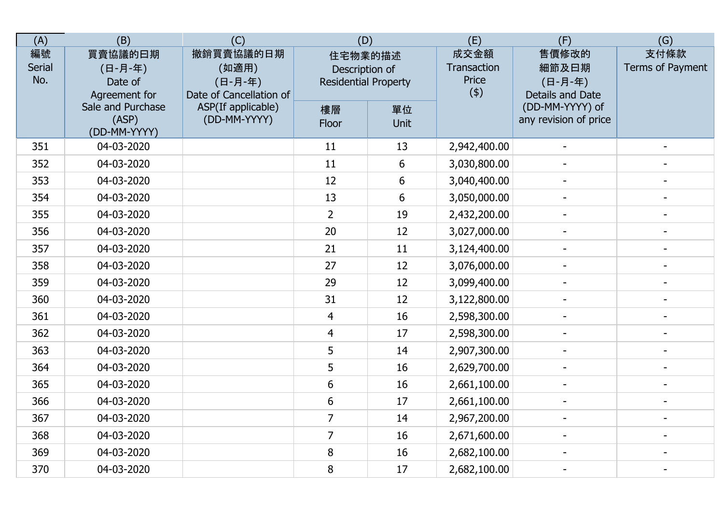| (A)                 | (B)                                            | (C)                                                      | (D)                                                      |            | (E)                                 | (F)                                           | (G)                      |
|---------------------|------------------------------------------------|----------------------------------------------------------|----------------------------------------------------------|------------|-------------------------------------|-----------------------------------------------|--------------------------|
| 編號<br>Serial<br>No. | 買賣協議的曰期<br>(日-月-年)<br>Date of<br>Agreement for | 撤銷買賣協議的日期<br>(如適用)<br>(日-月-年)<br>Date of Cancellation of | 住宅物業的描述<br>Description of<br><b>Residential Property</b> |            | 成交金額<br>Transaction<br>Price<br>(4) | 售價修改的<br>細節及日期<br>(日-月-年)<br>Details and Date | 支付條款<br>Terms of Payment |
|                     | Sale and Purchase<br>(ASP)<br>(DD-MM-YYYY)     | ASP(If applicable)<br>(DD-MM-YYYY)                       | 樓層<br>Floor                                              | 單位<br>Unit |                                     | (DD-MM-YYYY) of<br>any revision of price      |                          |
| 351                 | 04-03-2020                                     |                                                          | 11                                                       | 13         | 2,942,400.00                        |                                               |                          |
| 352                 | 04-03-2020                                     |                                                          | 11                                                       | $6\,$      | 3,030,800.00                        |                                               |                          |
| 353                 | 04-03-2020                                     |                                                          | 12                                                       | 6          | 3,040,400.00                        |                                               |                          |
| 354                 | 04-03-2020                                     |                                                          | 13                                                       | 6          | 3,050,000.00                        |                                               |                          |
| 355                 | 04-03-2020                                     |                                                          | $\overline{2}$                                           | 19         | 2,432,200.00                        | $\sim$                                        |                          |
| 356                 | 04-03-2020                                     |                                                          | 20                                                       | 12         | 3,027,000.00                        |                                               |                          |
| 357                 | 04-03-2020                                     |                                                          | 21                                                       | 11         | 3,124,400.00                        | $\overline{\phantom{a}}$                      | $\blacksquare$           |
| 358                 | 04-03-2020                                     |                                                          | 27                                                       | 12         | 3,076,000.00                        |                                               |                          |
| 359                 | 04-03-2020                                     |                                                          | 29                                                       | 12         | 3,099,400.00                        |                                               |                          |
| 360                 | 04-03-2020                                     |                                                          | 31                                                       | 12         | 3,122,800.00                        |                                               |                          |
| 361                 | 04-03-2020                                     |                                                          | $\overline{4}$                                           | 16         | 2,598,300.00                        |                                               |                          |
| 362                 | 04-03-2020                                     |                                                          | 4                                                        | 17         | 2,598,300.00                        |                                               |                          |
| 363                 | 04-03-2020                                     |                                                          | 5                                                        | 14         | 2,907,300.00                        |                                               |                          |
| 364                 | 04-03-2020                                     |                                                          | 5                                                        | 16         | 2,629,700.00                        | $\blacksquare$                                | $\blacksquare$           |
| 365                 | 04-03-2020                                     |                                                          | 6                                                        | 16         | 2,661,100.00                        |                                               |                          |
| 366                 | 04-03-2020                                     |                                                          | 6                                                        | 17         | 2,661,100.00                        |                                               |                          |
| 367                 | 04-03-2020                                     |                                                          | $\overline{7}$                                           | 14         | 2,967,200.00                        |                                               |                          |
| 368                 | 04-03-2020                                     |                                                          | $\overline{7}$                                           | 16         | 2,671,600.00                        |                                               |                          |
| 369                 | 04-03-2020                                     |                                                          | 8                                                        | 16         | 2,682,100.00                        |                                               |                          |
| 370                 | 04-03-2020                                     |                                                          | 8                                                        | 17         | 2,682,100.00                        | $\blacksquare$                                | $\overline{\phantom{a}}$ |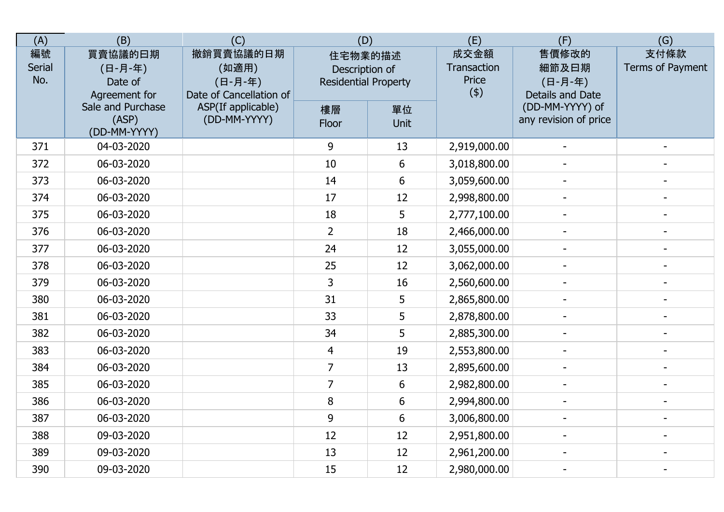| (A)                        | (B)                                            | (C)                                                      | (D)                                                      |                   | (E)                                 | (F)                                           | (G)                      |
|----------------------------|------------------------------------------------|----------------------------------------------------------|----------------------------------------------------------|-------------------|-------------------------------------|-----------------------------------------------|--------------------------|
| 編號<br><b>Serial</b><br>No. | 買賣協議的曰期<br>(日-月-年)<br>Date of<br>Agreement for | 撤銷買賣協議的日期<br>(如適用)<br>(日-月-年)<br>Date of Cancellation of | 住宅物業的描述<br>Description of<br><b>Residential Property</b> |                   | 成交金額<br>Transaction<br>Price<br>(4) | 售價修改的<br>細節及曰期<br>(日-月-年)<br>Details and Date | 支付條款<br>Terms of Payment |
|                            | Sale and Purchase<br>(ASP)<br>(DD-MM-YYYY)     | ASP(If applicable)<br>(DD-MM-YYYY)                       | 樓層<br>Floor                                              | 單位<br><b>Unit</b> |                                     | (DD-MM-YYYY) of<br>any revision of price      |                          |
| 371                        | 04-03-2020                                     |                                                          | 9                                                        | 13                | 2,919,000.00                        |                                               |                          |
| 372                        | 06-03-2020                                     |                                                          | 10                                                       | 6                 | 3,018,800.00                        |                                               |                          |
| 373                        | 06-03-2020                                     |                                                          | 14                                                       | 6                 | 3,059,600.00                        |                                               |                          |
| 374                        | 06-03-2020                                     |                                                          | 17                                                       | 12                | 2,998,800.00                        |                                               |                          |
| 375                        | 06-03-2020                                     |                                                          | 18                                                       | 5                 | 2,777,100.00                        | $\blacksquare$                                |                          |
| 376                        | 06-03-2020                                     |                                                          | $\overline{2}$                                           | 18                | 2,466,000.00                        |                                               |                          |
| 377                        | 06-03-2020                                     |                                                          | 24                                                       | 12                | 3,055,000.00                        | $\overline{\phantom{a}}$                      | $\overline{a}$           |
| 378                        | 06-03-2020                                     |                                                          | 25                                                       | 12                | 3,062,000.00                        |                                               |                          |
| 379                        | 06-03-2020                                     |                                                          | $\overline{3}$                                           | 16                | 2,560,600.00                        |                                               |                          |
| 380                        | 06-03-2020                                     |                                                          | 31                                                       | 5                 | 2,865,800.00                        |                                               |                          |
| 381                        | 06-03-2020                                     |                                                          | 33                                                       | 5                 | 2,878,800.00                        |                                               |                          |
| 382                        | 06-03-2020                                     |                                                          | 34                                                       | 5                 | 2,885,300.00                        |                                               |                          |
| 383                        | 06-03-2020                                     |                                                          | $\overline{4}$                                           | 19                | 2,553,800.00                        | $\blacksquare$                                |                          |
| 384                        | 06-03-2020                                     |                                                          | $\overline{7}$                                           | 13                | 2,895,600.00                        | $\blacksquare$                                | $\blacksquare$           |
| 385                        | 06-03-2020                                     |                                                          | $\overline{7}$                                           | 6                 | 2,982,800.00                        |                                               | $\overline{\phantom{a}}$ |
| 386                        | 06-03-2020                                     |                                                          | 8                                                        | 6                 | 2,994,800.00                        | $\blacksquare$                                |                          |
| 387                        | 06-03-2020                                     |                                                          | 9                                                        | 6                 | 3,006,800.00                        |                                               |                          |
| 388                        | 09-03-2020                                     |                                                          | 12                                                       | 12                | 2,951,800.00                        |                                               |                          |
| 389                        | 09-03-2020                                     |                                                          | 13                                                       | 12                | 2,961,200.00                        |                                               |                          |
| 390                        | 09-03-2020                                     |                                                          | 15                                                       | 12                | 2,980,000.00                        |                                               |                          |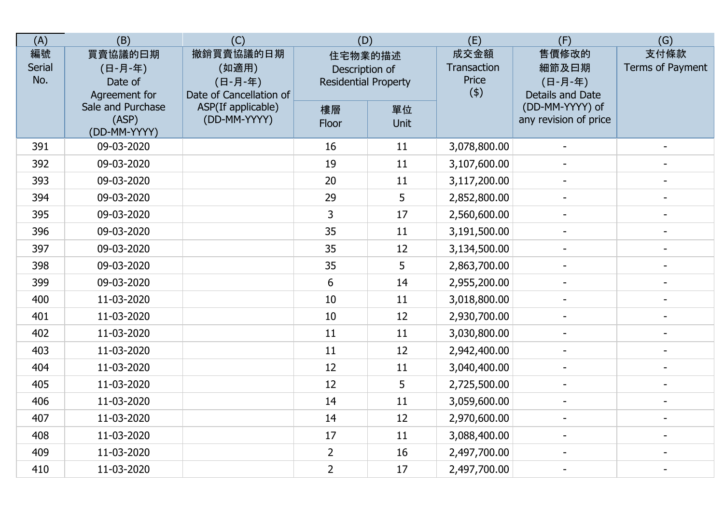| (A)                 | (B)                                            | (C)                                                      | (D)                                                      |            | (E)                                 | (F)                                           | (G)                      |
|---------------------|------------------------------------------------|----------------------------------------------------------|----------------------------------------------------------|------------|-------------------------------------|-----------------------------------------------|--------------------------|
| 編號<br>Serial<br>No. | 買賣協議的曰期<br>(日-月-年)<br>Date of<br>Agreement for | 撤銷買賣協議的日期<br>(如適用)<br>(日-月-年)<br>Date of Cancellation of | 住宅物業的描述<br>Description of<br><b>Residential Property</b> |            | 成交金額<br>Transaction<br>Price<br>(4) | 售價修改的<br>細節及日期<br>(日-月-年)<br>Details and Date | 支付條款<br>Terms of Payment |
|                     | Sale and Purchase<br>(ASP)<br>(DD-MM-YYYY)     | ASP(If applicable)<br>(DD-MM-YYYY)                       | 樓層<br>Floor                                              | 單位<br>Unit |                                     | (DD-MM-YYYY) of<br>any revision of price      |                          |
| 391                 | 09-03-2020                                     |                                                          | 16                                                       | 11         | 3,078,800.00                        |                                               |                          |
| 392                 | 09-03-2020                                     |                                                          | 19                                                       | 11         | 3,107,600.00                        |                                               |                          |
| 393                 | 09-03-2020                                     |                                                          | 20                                                       | 11         | 3,117,200.00                        |                                               |                          |
| 394                 | 09-03-2020                                     |                                                          | 29                                                       | 5          | 2,852,800.00                        |                                               |                          |
| 395                 | 09-03-2020                                     |                                                          | 3                                                        | 17         | 2,560,600.00                        | $\sim$                                        |                          |
| 396                 | 09-03-2020                                     |                                                          | 35                                                       | 11         | 3,191,500.00                        |                                               |                          |
| 397                 | 09-03-2020                                     |                                                          | 35                                                       | 12         | 3,134,500.00                        | $\overline{\phantom{a}}$                      | $\blacksquare$           |
| 398                 | 09-03-2020                                     |                                                          | 35                                                       | 5          | 2,863,700.00                        |                                               |                          |
| 399                 | 09-03-2020                                     |                                                          | 6                                                        | 14         | 2,955,200.00                        |                                               |                          |
| 400                 | 11-03-2020                                     |                                                          | 10                                                       | 11         | 3,018,800.00                        |                                               |                          |
| 401                 | 11-03-2020                                     |                                                          | 10                                                       | 12         | 2,930,700.00                        |                                               |                          |
| 402                 | 11-03-2020                                     |                                                          | 11                                                       | 11         | 3,030,800.00                        |                                               |                          |
| 403                 | 11-03-2020                                     |                                                          | 11                                                       | 12         | 2,942,400.00                        | $\overline{\phantom{a}}$                      |                          |
| 404                 | 11-03-2020                                     |                                                          | 12                                                       | 11         | 3,040,400.00                        | $\blacksquare$                                | $\blacksquare$           |
| 405                 | 11-03-2020                                     |                                                          | 12                                                       | 5          | 2,725,500.00                        |                                               |                          |
| 406                 | 11-03-2020                                     |                                                          | 14                                                       | 11         | 3,059,600.00                        |                                               |                          |
| 407                 | 11-03-2020                                     |                                                          | 14                                                       | 12         | 2,970,600.00                        |                                               |                          |
| 408                 | 11-03-2020                                     |                                                          | 17                                                       | 11         | 3,088,400.00                        |                                               |                          |
| 409                 | 11-03-2020                                     |                                                          | $\overline{2}$                                           | 16         | 2,497,700.00                        |                                               |                          |
| 410                 | 11-03-2020                                     |                                                          | $\overline{2}$                                           | 17         | 2,497,700.00                        | $\blacksquare$                                | $\overline{\phantom{a}}$ |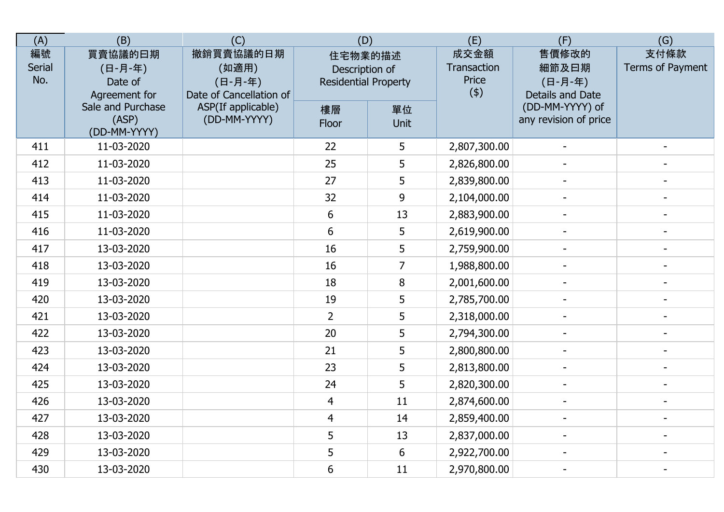| (A)                 | (B)                                            | (C)                                                      | (D)                                                      |                | (E)                                 | (F)                                           | (G)                      |
|---------------------|------------------------------------------------|----------------------------------------------------------|----------------------------------------------------------|----------------|-------------------------------------|-----------------------------------------------|--------------------------|
| 編號<br>Serial<br>No. | 買賣協議的曰期<br>(日-月-年)<br>Date of<br>Agreement for | 撤銷買賣協議的日期<br>(如適用)<br>(日-月-年)<br>Date of Cancellation of | 住宅物業的描述<br>Description of<br><b>Residential Property</b> |                | 成交金額<br>Transaction<br>Price<br>(4) | 售價修改的<br>細節及日期<br>(日-月-年)<br>Details and Date | 支付條款<br>Terms of Payment |
|                     | Sale and Purchase<br>(ASP)<br>(DD-MM-YYYY)     | ASP(If applicable)<br>(DD-MM-YYYY)                       | 樓層<br>Floor                                              | 單位<br>Unit     |                                     | (DD-MM-YYYY) of<br>any revision of price      |                          |
| 411                 | 11-03-2020                                     |                                                          | 22                                                       | 5              | 2,807,300.00                        |                                               |                          |
| 412                 | 11-03-2020                                     |                                                          | 25                                                       | 5              | 2,826,800.00                        |                                               |                          |
| 413                 | 11-03-2020                                     |                                                          | 27                                                       | 5              | 2,839,800.00                        |                                               |                          |
| 414                 | 11-03-2020                                     |                                                          | 32                                                       | 9              | 2,104,000.00                        |                                               |                          |
| 415                 | 11-03-2020                                     |                                                          | 6                                                        | 13             | 2,883,900.00                        | $\overline{a}$                                |                          |
| 416                 | 11-03-2020                                     |                                                          | 6                                                        | 5              | 2,619,900.00                        |                                               |                          |
| 417                 | 13-03-2020                                     |                                                          | 16                                                       | 5              | 2,759,900.00                        | $\overline{\phantom{a}}$                      | $\blacksquare$           |
| 418                 | 13-03-2020                                     |                                                          | 16                                                       | $\overline{7}$ | 1,988,800.00                        |                                               |                          |
| 419                 | 13-03-2020                                     |                                                          | 18                                                       | $\bf 8$        | 2,001,600.00                        |                                               |                          |
| 420                 | 13-03-2020                                     |                                                          | 19                                                       | 5              | 2,785,700.00                        |                                               |                          |
| 421                 | 13-03-2020                                     |                                                          | $\overline{2}$                                           | 5              | 2,318,000.00                        |                                               |                          |
| 422                 | 13-03-2020                                     |                                                          | 20                                                       | 5              | 2,794,300.00                        |                                               |                          |
| 423                 | 13-03-2020                                     |                                                          | 21                                                       | 5              | 2,800,800.00                        |                                               |                          |
| 424                 | 13-03-2020                                     |                                                          | 23                                                       | 5              | 2,813,800.00                        | $\overline{a}$                                | $\blacksquare$           |
| 425                 | 13-03-2020                                     |                                                          | 24                                                       | 5              | 2,820,300.00                        |                                               |                          |
| 426                 | 13-03-2020                                     |                                                          | $\overline{4}$                                           | 11             | 2,874,600.00                        |                                               |                          |
| 427                 | 13-03-2020                                     |                                                          | $\overline{4}$                                           | 14             | 2,859,400.00                        |                                               |                          |
| 428                 | 13-03-2020                                     |                                                          | 5                                                        | 13             | 2,837,000.00                        |                                               |                          |
| 429                 | 13-03-2020                                     |                                                          | 5                                                        | $6\phantom{1}$ | 2,922,700.00                        |                                               |                          |
| 430                 | 13-03-2020                                     |                                                          | 6                                                        | 11             | 2,970,800.00                        | $\blacksquare$                                | $\overline{\phantom{a}}$ |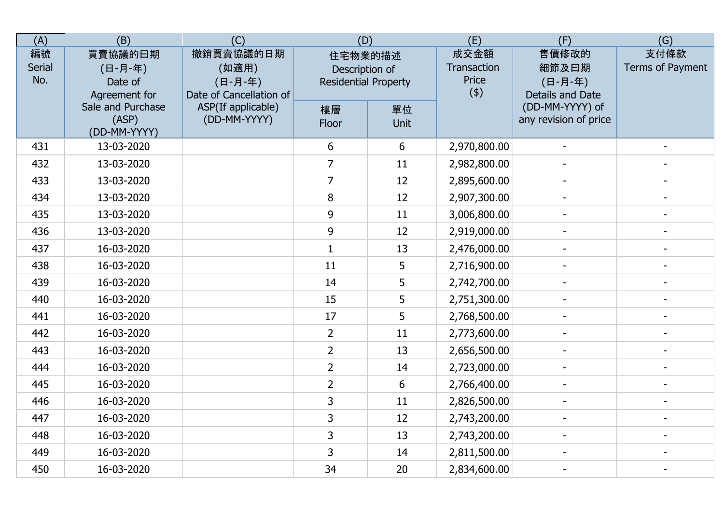| (A)                 | (B)                                            | (C)                                                      | (D)                                                      |            | (E)                                 | (F)                                           | (G)                      |
|---------------------|------------------------------------------------|----------------------------------------------------------|----------------------------------------------------------|------------|-------------------------------------|-----------------------------------------------|--------------------------|
| 編號<br>Serial<br>No. | 買賣協議的曰期<br>(日-月-年)<br>Date of<br>Agreement for | 撤銷買賣協議的日期<br>(如適用)<br>(日-月-年)<br>Date of Cancellation of | 住宅物業的描述<br>Description of<br><b>Residential Property</b> |            | 成交金額<br>Transaction<br>Price<br>(4) | 售價修改的<br>細節及日期<br>(日-月-年)<br>Details and Date | 支付條款<br>Terms of Payment |
|                     | Sale and Purchase<br>(ASP)<br>(DD-MM-YYYY)     | ASP(If applicable)<br>(DD-MM-YYYY)                       | 樓層<br>Floor                                              | 單位<br>Unit |                                     | (DD-MM-YYYY) of<br>any revision of price      |                          |
| 431                 | 13-03-2020                                     |                                                          | 6                                                        | 6          | 2,970,800.00                        |                                               |                          |
| 432                 | 13-03-2020                                     |                                                          | $\overline{7}$                                           | 11         | 2,982,800.00                        |                                               |                          |
| 433                 | 13-03-2020                                     |                                                          | $\overline{7}$                                           | 12         | 2,895,600.00                        |                                               |                          |
| 434                 | 13-03-2020                                     |                                                          | 8                                                        | 12         | 2,907,300.00                        |                                               |                          |
| 435                 | 13-03-2020                                     |                                                          | 9                                                        | 11         | 3,006,800.00                        | $\overline{a}$                                |                          |
| 436                 | 13-03-2020                                     |                                                          | 9                                                        | 12         | 2,919,000.00                        |                                               |                          |
| 437                 | 16-03-2020                                     |                                                          | $\mathbf{1}$                                             | 13         | 2,476,000.00                        | $\blacksquare$                                | $\blacksquare$           |
| 438                 | 16-03-2020                                     |                                                          | 11                                                       | 5          | 2,716,900.00                        |                                               |                          |
| 439                 | 16-03-2020                                     |                                                          | 14                                                       | 5          | 2,742,700.00                        |                                               |                          |
| 440                 | 16-03-2020                                     |                                                          | 15                                                       | 5          | 2,751,300.00                        |                                               |                          |
| 441                 | 16-03-2020                                     |                                                          | 17                                                       | 5          | 2,768,500.00                        |                                               |                          |
| 442                 | 16-03-2020                                     |                                                          | $\overline{2}$                                           | 11         | 2,773,600.00                        |                                               |                          |
| 443                 | 16-03-2020                                     |                                                          | $\overline{2}$                                           | 13         | 2,656,500.00                        |                                               |                          |
| 444                 | 16-03-2020                                     |                                                          | $\overline{2}$                                           | 14         | 2,723,000.00                        | $\overline{a}$                                | $\blacksquare$           |
| 445                 | 16-03-2020                                     |                                                          | $\overline{2}$                                           | 6          | 2,766,400.00                        |                                               |                          |
| 446                 | 16-03-2020                                     |                                                          | 3                                                        | 11         | 2,826,500.00                        |                                               |                          |
| 447                 | 16-03-2020                                     |                                                          | 3                                                        | 12         | 2,743,200.00                        |                                               |                          |
| 448                 | 16-03-2020                                     |                                                          | 3                                                        | 13         | 2,743,200.00                        |                                               |                          |
| 449                 | 16-03-2020                                     |                                                          | 3                                                        | 14         | 2,811,500.00                        |                                               |                          |
| 450                 | 16-03-2020                                     |                                                          | 34                                                       | 20         | 2,834,600.00                        | $\blacksquare$                                | $\overline{\phantom{a}}$ |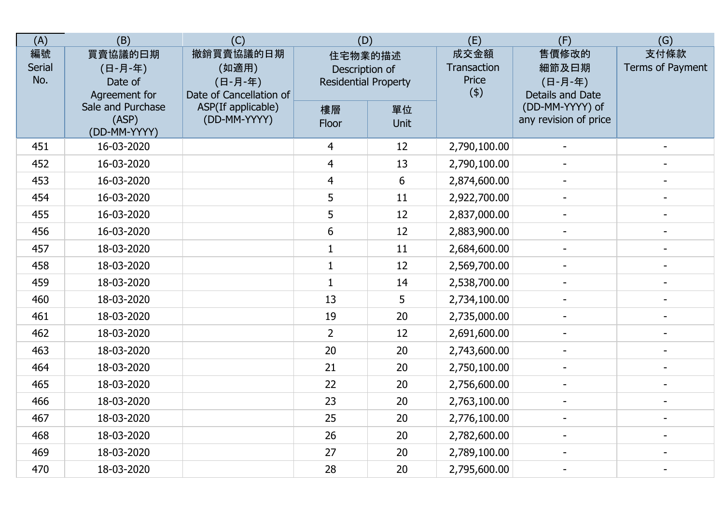| (A)                 | (B)                                            | (C)                                                      | (D)                                                      |                | (E)                                 | (F)                                           | (G)                      |
|---------------------|------------------------------------------------|----------------------------------------------------------|----------------------------------------------------------|----------------|-------------------------------------|-----------------------------------------------|--------------------------|
| 編號<br>Serial<br>No. | 買賣協議的曰期<br>(日-月-年)<br>Date of<br>Agreement for | 撤銷買賣協議的日期<br>(如適用)<br>(日-月-年)<br>Date of Cancellation of | 住宅物業的描述<br>Description of<br><b>Residential Property</b> |                | 成交金額<br>Transaction<br>Price<br>(4) | 售價修改的<br>細節及日期<br>(日-月-年)<br>Details and Date | 支付條款<br>Terms of Payment |
|                     | Sale and Purchase<br>(ASP)<br>(DD-MM-YYYY)     | ASP(If applicable)<br>(DD-MM-YYYY)                       | 樓層<br>Floor                                              | 單位<br>Unit     |                                     | (DD-MM-YYYY) of<br>any revision of price      |                          |
| 451                 | 16-03-2020                                     |                                                          | 4                                                        | 12             | 2,790,100.00                        |                                               |                          |
| 452                 | 16-03-2020                                     |                                                          | $\overline{4}$                                           | 13             | 2,790,100.00                        |                                               |                          |
| 453                 | 16-03-2020                                     |                                                          | 4                                                        | $6\phantom{1}$ | 2,874,600.00                        |                                               |                          |
| 454                 | 16-03-2020                                     |                                                          | 5                                                        | 11             | 2,922,700.00                        |                                               |                          |
| 455                 | 16-03-2020                                     |                                                          | 5                                                        | 12             | 2,837,000.00                        | $\overline{a}$                                |                          |
| 456                 | 16-03-2020                                     |                                                          | 6                                                        | 12             | 2,883,900.00                        |                                               |                          |
| 457                 | 18-03-2020                                     |                                                          | $\mathbf{1}$                                             | 11             | 2,684,600.00                        | $\overline{\phantom{a}}$                      | $\blacksquare$           |
| 458                 | 18-03-2020                                     |                                                          | $\mathbf{1}$                                             | 12             | 2,569,700.00                        |                                               |                          |
| 459                 | 18-03-2020                                     |                                                          | $\mathbf{1}$                                             | 14             | 2,538,700.00                        |                                               |                          |
| 460                 | 18-03-2020                                     |                                                          | 13                                                       | 5              | 2,734,100.00                        |                                               |                          |
| 461                 | 18-03-2020                                     |                                                          | 19                                                       | 20             | 2,735,000.00                        |                                               |                          |
| 462                 | 18-03-2020                                     |                                                          | $\overline{2}$                                           | 12             | 2,691,600.00                        |                                               |                          |
| 463                 | 18-03-2020                                     |                                                          | 20                                                       | 20             | 2,743,600.00                        |                                               |                          |
| 464                 | 18-03-2020                                     |                                                          | 21                                                       | 20             | 2,750,100.00                        | $\blacksquare$                                | $\blacksquare$           |
| 465                 | 18-03-2020                                     |                                                          | 22                                                       | 20             | 2,756,600.00                        |                                               |                          |
| 466                 | 18-03-2020                                     |                                                          | 23                                                       | 20             | 2,763,100.00                        |                                               |                          |
| 467                 | 18-03-2020                                     |                                                          | 25                                                       | 20             | 2,776,100.00                        |                                               |                          |
| 468                 | 18-03-2020                                     |                                                          | 26                                                       | 20             | 2,782,600.00                        |                                               |                          |
| 469                 | 18-03-2020                                     |                                                          | 27                                                       | 20             | 2,789,100.00                        |                                               |                          |
| 470                 | 18-03-2020                                     |                                                          | 28                                                       | 20             | 2,795,600.00                        | $\blacksquare$                                | $\overline{\phantom{a}}$ |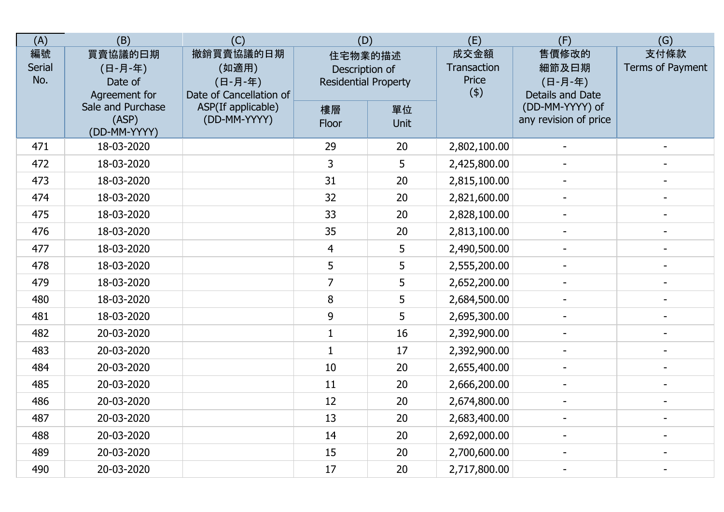| (A)                 | (B)                                            | (C)                                                      | (D)                                                      |            | (E)                                 | (F)                                           | (G)                      |
|---------------------|------------------------------------------------|----------------------------------------------------------|----------------------------------------------------------|------------|-------------------------------------|-----------------------------------------------|--------------------------|
| 編號<br>Serial<br>No. | 買賣協議的曰期<br>(日-月-年)<br>Date of<br>Agreement for | 撤銷買賣協議的日期<br>(如適用)<br>(日-月-年)<br>Date of Cancellation of | 住宅物業的描述<br>Description of<br><b>Residential Property</b> |            | 成交金額<br>Transaction<br>Price<br>(4) | 售價修改的<br>細節及日期<br>(日-月-年)<br>Details and Date | 支付條款<br>Terms of Payment |
|                     | Sale and Purchase<br>(ASP)<br>(DD-MM-YYYY)     | ASP(If applicable)<br>(DD-MM-YYYY)                       | 樓層<br>Floor                                              | 單位<br>Unit |                                     | (DD-MM-YYYY) of<br>any revision of price      |                          |
| 471                 | 18-03-2020                                     |                                                          | 29                                                       | 20         | 2,802,100.00                        |                                               |                          |
| 472                 | 18-03-2020                                     |                                                          | 3                                                        | 5          | 2,425,800.00                        |                                               |                          |
| 473                 | 18-03-2020                                     |                                                          | 31                                                       | 20         | 2,815,100.00                        |                                               |                          |
| 474                 | 18-03-2020                                     |                                                          | 32                                                       | 20         | 2,821,600.00                        |                                               |                          |
| 475                 | 18-03-2020                                     |                                                          | 33                                                       | 20         | 2,828,100.00                        | $\overline{a}$                                |                          |
| 476                 | 18-03-2020                                     |                                                          | 35                                                       | 20         | 2,813,100.00                        |                                               |                          |
| 477                 | 18-03-2020                                     |                                                          | 4                                                        | 5          | 2,490,500.00                        | $\overline{\phantom{a}}$                      | $\blacksquare$           |
| 478                 | 18-03-2020                                     |                                                          | 5                                                        | 5          | 2,555,200.00                        |                                               |                          |
| 479                 | 18-03-2020                                     |                                                          | $\overline{7}$                                           | 5          | 2,652,200.00                        |                                               |                          |
| 480                 | 18-03-2020                                     |                                                          | 8                                                        | 5          | 2,684,500.00                        |                                               |                          |
| 481                 | 18-03-2020                                     |                                                          | 9                                                        | 5          | 2,695,300.00                        |                                               |                          |
| 482                 | 20-03-2020                                     |                                                          | $\mathbf{1}$                                             | 16         | 2,392,900.00                        |                                               |                          |
| 483                 | 20-03-2020                                     |                                                          | $\mathbf{1}$                                             | 17         | 2,392,900.00                        |                                               |                          |
| 484                 | 20-03-2020                                     |                                                          | 10                                                       | 20         | 2,655,400.00                        | $\blacksquare$                                | $\blacksquare$           |
| 485                 | 20-03-2020                                     |                                                          | 11                                                       | 20         | 2,666,200.00                        |                                               |                          |
| 486                 | 20-03-2020                                     |                                                          | 12                                                       | 20         | 2,674,800.00                        |                                               |                          |
| 487                 | 20-03-2020                                     |                                                          | 13                                                       | 20         | 2,683,400.00                        |                                               |                          |
| 488                 | 20-03-2020                                     |                                                          | 14                                                       | 20         | 2,692,000.00                        |                                               |                          |
| 489                 | 20-03-2020                                     |                                                          | 15                                                       | 20         | 2,700,600.00                        |                                               |                          |
| 490                 | 20-03-2020                                     |                                                          | 17                                                       | 20         | 2,717,800.00                        | $\blacksquare$                                | $\overline{\phantom{a}}$ |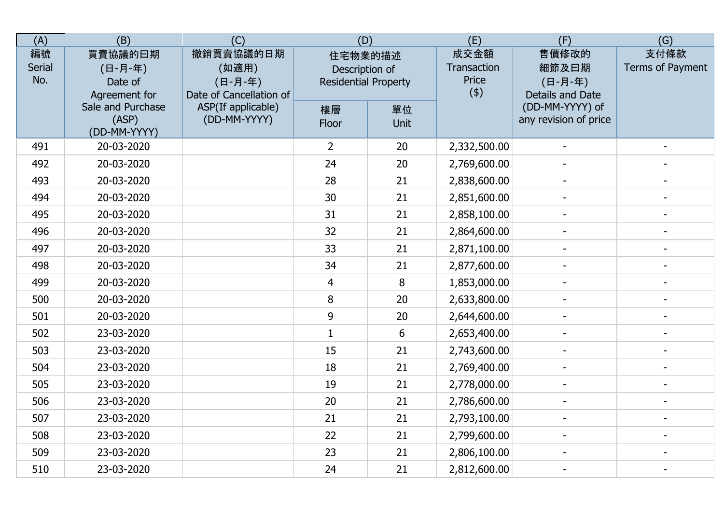| (A)                 | (B)                                            | (C)                                                      | (D)                                                      |                | (E)                                 | (F)                                           | (G)                      |
|---------------------|------------------------------------------------|----------------------------------------------------------|----------------------------------------------------------|----------------|-------------------------------------|-----------------------------------------------|--------------------------|
| 編號<br>Serial<br>No. | 買賣協議的曰期<br>(日-月-年)<br>Date of<br>Agreement for | 撤銷買賣協議的日期<br>(如適用)<br>(日-月-年)<br>Date of Cancellation of | 住宅物業的描述<br>Description of<br><b>Residential Property</b> |                | 成交金額<br>Transaction<br>Price<br>(4) | 售價修改的<br>細節及日期<br>(日-月-年)<br>Details and Date | 支付條款<br>Terms of Payment |
|                     | Sale and Purchase<br>(ASP)<br>(DD-MM-YYYY)     | ASP(If applicable)<br>(DD-MM-YYYY)                       | 樓層<br>Floor                                              | 單位<br>Unit     |                                     | (DD-MM-YYYY) of<br>any revision of price      |                          |
| 491                 | 20-03-2020                                     |                                                          | $\overline{2}$                                           | 20             | 2,332,500.00                        |                                               |                          |
| 492                 | 20-03-2020                                     |                                                          | 24                                                       | 20             | 2,769,600.00                        |                                               |                          |
| 493                 | 20-03-2020                                     |                                                          | 28                                                       | 21             | 2,838,600.00                        |                                               |                          |
| 494                 | 20-03-2020                                     |                                                          | 30                                                       | 21             | 2,851,600.00                        |                                               |                          |
| 495                 | 20-03-2020                                     |                                                          | 31                                                       | 21             | 2,858,100.00                        | $\overline{a}$                                |                          |
| 496                 | 20-03-2020                                     |                                                          | 32                                                       | 21             | 2,864,600.00                        |                                               |                          |
| 497                 | 20-03-2020                                     |                                                          | 33                                                       | 21             | 2,871,100.00                        | $\overline{\phantom{a}}$                      | $\blacksquare$           |
| 498                 | 20-03-2020                                     |                                                          | 34                                                       | 21             | 2,877,600.00                        |                                               |                          |
| 499                 | 20-03-2020                                     |                                                          | $\overline{4}$                                           | $\bf 8$        | 1,853,000.00                        |                                               |                          |
| 500                 | 20-03-2020                                     |                                                          | 8                                                        | 20             | 2,633,800.00                        |                                               |                          |
| 501                 | 20-03-2020                                     |                                                          | 9                                                        | 20             | 2,644,600.00                        |                                               |                          |
| 502                 | 23-03-2020                                     |                                                          | $\mathbf{1}$                                             | $6\phantom{1}$ | 2,653,400.00                        |                                               |                          |
| 503                 | 23-03-2020                                     |                                                          | 15                                                       | 21             | 2,743,600.00                        |                                               |                          |
| 504                 | 23-03-2020                                     |                                                          | 18                                                       | 21             | 2,769,400.00                        | $\blacksquare$                                | $\blacksquare$           |
| 505                 | 23-03-2020                                     |                                                          | 19                                                       | 21             | 2,778,000.00                        |                                               |                          |
| 506                 | 23-03-2020                                     |                                                          | 20                                                       | 21             | 2,786,600.00                        |                                               |                          |
| 507                 | 23-03-2020                                     |                                                          | 21                                                       | 21             | 2,793,100.00                        |                                               |                          |
| 508                 | 23-03-2020                                     |                                                          | 22                                                       | 21             | 2,799,600.00                        |                                               |                          |
| 509                 | 23-03-2020                                     |                                                          | 23                                                       | 21             | 2,806,100.00                        |                                               |                          |
| 510                 | 23-03-2020                                     |                                                          | 24                                                       | 21             | 2,812,600.00                        |                                               | $\overline{\phantom{a}}$ |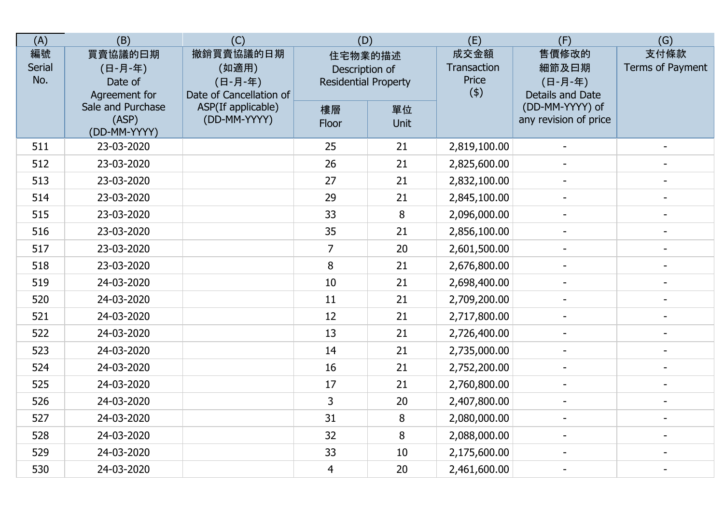| (A)                        | (B)                                            | (C)                                                      | (D)                                                      |            | (E)                                 | (F)                                           | (G)                      |
|----------------------------|------------------------------------------------|----------------------------------------------------------|----------------------------------------------------------|------------|-------------------------------------|-----------------------------------------------|--------------------------|
| 編號<br><b>Serial</b><br>No. | 買賣協議的曰期<br>(日-月-年)<br>Date of<br>Agreement for | 撤銷買賣協議的日期<br>(如適用)<br>(日-月-年)<br>Date of Cancellation of | 住宅物業的描述<br>Description of<br><b>Residential Property</b> |            | 成交金額<br>Transaction<br>Price<br>(4) | 售價修改的<br>細節及曰期<br>(日-月-年)<br>Details and Date | 支付條款<br>Terms of Payment |
|                            | Sale and Purchase<br>(ASP)<br>(DD-MM-YYYY)     | ASP(If applicable)<br>(DD-MM-YYYY)                       | 樓層<br>Floor                                              | 單位<br>Unit |                                     | (DD-MM-YYYY) of<br>any revision of price      |                          |
| 511                        | 23-03-2020                                     |                                                          | 25                                                       | 21         | 2,819,100.00                        |                                               |                          |
| 512                        | 23-03-2020                                     |                                                          | 26                                                       | 21         | 2,825,600.00                        |                                               |                          |
| 513                        | 23-03-2020                                     |                                                          | 27                                                       | 21         | 2,832,100.00                        |                                               |                          |
| 514                        | 23-03-2020                                     |                                                          | 29                                                       | 21         | 2,845,100.00                        |                                               |                          |
| 515                        | 23-03-2020                                     |                                                          | 33                                                       | 8          | 2,096,000.00                        | $\blacksquare$                                |                          |
| 516                        | 23-03-2020                                     |                                                          | 35                                                       | 21         | 2,856,100.00                        |                                               | $\blacksquare$           |
| 517                        | 23-03-2020                                     |                                                          | $\overline{7}$                                           | 20         | 2,601,500.00                        | $\blacksquare$                                | $\blacksquare$           |
| 518                        | 23-03-2020                                     |                                                          | 8                                                        | 21         | 2,676,800.00                        |                                               |                          |
| 519                        | 24-03-2020                                     |                                                          | 10                                                       | 21         | 2,698,400.00                        |                                               |                          |
| 520                        | 24-03-2020                                     |                                                          | 11                                                       | 21         | 2,709,200.00                        |                                               |                          |
| 521                        | 24-03-2020                                     |                                                          | 12                                                       | 21         | 2,717,800.00                        |                                               |                          |
| 522                        | 24-03-2020                                     |                                                          | 13                                                       | 21         | 2,726,400.00                        |                                               |                          |
| 523                        | 24-03-2020                                     |                                                          | 14                                                       | 21         | 2,735,000.00                        | $\qquad \qquad -$                             |                          |
| 524                        | 24-03-2020                                     |                                                          | 16                                                       | 21         | 2,752,200.00                        | $\blacksquare$                                | $\blacksquare$           |
| 525                        | 24-03-2020                                     |                                                          | 17                                                       | 21         | 2,760,800.00                        |                                               |                          |
| 526                        | 24-03-2020                                     |                                                          | $\overline{3}$                                           | 20         | 2,407,800.00                        | $\overline{\phantom{0}}$                      |                          |
| 527                        | 24-03-2020                                     |                                                          | 31                                                       | 8          | 2,080,000.00                        |                                               |                          |
| 528                        | 24-03-2020                                     |                                                          | 32                                                       | 8          | 2,088,000.00                        |                                               |                          |
| 529                        | 24-03-2020                                     |                                                          | 33                                                       | 10         | 2,175,600.00                        |                                               |                          |
| 530                        | 24-03-2020                                     |                                                          | $\overline{4}$                                           | 20         | 2,461,600.00                        | $\blacksquare$                                | $\overline{\phantom{a}}$ |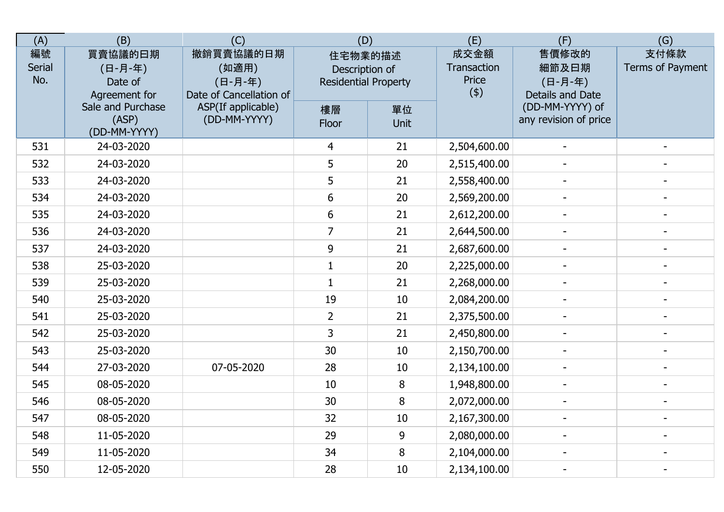| (A)                        | (B)                                            | (C)                                                      | (D)                                                      |            | (E)                                 | (F)                                           | (G)                      |
|----------------------------|------------------------------------------------|----------------------------------------------------------|----------------------------------------------------------|------------|-------------------------------------|-----------------------------------------------|--------------------------|
| 編號<br><b>Serial</b><br>No. | 買賣協議的曰期<br>(日-月-年)<br>Date of<br>Agreement for | 撤銷買賣協議的日期<br>(如適用)<br>(日-月-年)<br>Date of Cancellation of | 住宅物業的描述<br>Description of<br><b>Residential Property</b> |            | 成交金額<br>Transaction<br>Price<br>(4) | 售價修改的<br>細節及曰期<br>(日-月-年)<br>Details and Date | 支付條款<br>Terms of Payment |
|                            | Sale and Purchase<br>(ASP)<br>(DD-MM-YYYY)     | ASP(If applicable)<br>(DD-MM-YYYY)                       | 樓層<br>Floor                                              | 單位<br>Unit |                                     | (DD-MM-YYYY) of<br>any revision of price      |                          |
| 531                        | 24-03-2020                                     |                                                          | 4                                                        | 21         | 2,504,600.00                        |                                               |                          |
| 532                        | 24-03-2020                                     |                                                          | 5                                                        | 20         | 2,515,400.00                        |                                               |                          |
| 533                        | 24-03-2020                                     |                                                          | 5                                                        | 21         | 2,558,400.00                        |                                               |                          |
| 534                        | 24-03-2020                                     |                                                          | 6                                                        | 20         | 2,569,200.00                        |                                               |                          |
| 535                        | 24-03-2020                                     |                                                          | 6                                                        | 21         | 2,612,200.00                        |                                               |                          |
| 536                        | 24-03-2020                                     |                                                          | $\overline{7}$                                           | 21         | 2,644,500.00                        |                                               | $\overline{a}$           |
| 537                        | 24-03-2020                                     |                                                          | 9                                                        | 21         | 2,687,600.00                        |                                               | $\blacksquare$           |
| 538                        | 25-03-2020                                     |                                                          | 1                                                        | 20         | 2,225,000.00                        |                                               |                          |
| 539                        | 25-03-2020                                     |                                                          | $\mathbf{1}$                                             | 21         | 2,268,000.00                        |                                               |                          |
| 540                        | 25-03-2020                                     |                                                          | 19                                                       | 10         | 2,084,200.00                        |                                               |                          |
| 541                        | 25-03-2020                                     |                                                          | $\overline{2}$                                           | 21         | 2,375,500.00                        |                                               |                          |
| 542                        | 25-03-2020                                     |                                                          | 3                                                        | 21         | 2,450,800.00                        |                                               |                          |
| 543                        | 25-03-2020                                     |                                                          | 30                                                       | 10         | 2,150,700.00                        |                                               |                          |
| 544                        | 27-03-2020                                     | 07-05-2020                                               | 28                                                       | 10         | 2,134,100.00                        | $\blacksquare$                                | $\blacksquare$           |
| 545                        | 08-05-2020                                     |                                                          | 10                                                       | 8          | 1,948,800.00                        |                                               |                          |
| 546                        | 08-05-2020                                     |                                                          | 30                                                       | 8          | 2,072,000.00                        |                                               |                          |
| 547                        | 08-05-2020                                     |                                                          | 32                                                       | 10         | 2,167,300.00                        |                                               |                          |
| 548                        | 11-05-2020                                     |                                                          | 29                                                       | 9          | 2,080,000.00                        |                                               |                          |
| 549                        | 11-05-2020                                     |                                                          | 34                                                       | 8          | 2,104,000.00                        |                                               |                          |
| 550                        | 12-05-2020                                     |                                                          | 28                                                       | 10         | 2,134,100.00                        | $\blacksquare$                                | $\overline{\phantom{a}}$ |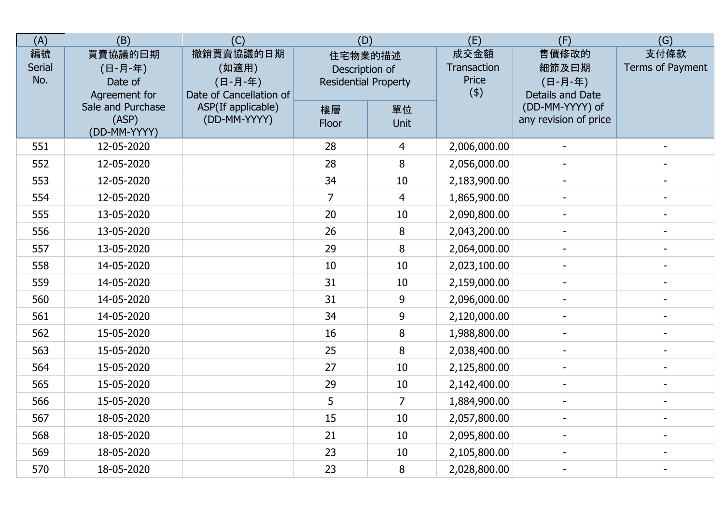| (A)                        | (B)                                            | (C)                                                      | (D)                                                      |                | (E)                                 | (F)                                           | (G)                      |
|----------------------------|------------------------------------------------|----------------------------------------------------------|----------------------------------------------------------|----------------|-------------------------------------|-----------------------------------------------|--------------------------|
| 編號<br><b>Serial</b><br>No. | 買賣協議的曰期<br>(日-月-年)<br>Date of<br>Agreement for | 撤銷買賣協議的日期<br>(如適用)<br>(日-月-年)<br>Date of Cancellation of | 住宅物業的描述<br>Description of<br><b>Residential Property</b> |                | 成交金額<br>Transaction<br>Price<br>(4) | 售價修改的<br>細節及曰期<br>(日-月-年)<br>Details and Date | 支付條款<br>Terms of Payment |
|                            | Sale and Purchase<br>(ASP)<br>(DD-MM-YYYY)     | ASP(If applicable)<br>(DD-MM-YYYY)                       | 樓層<br>Floor                                              | 單位<br>Unit     |                                     | (DD-MM-YYYY) of<br>any revision of price      |                          |
| 551                        | 12-05-2020                                     |                                                          | 28                                                       | 4              | 2,006,000.00                        |                                               |                          |
| 552                        | 12-05-2020                                     |                                                          | 28                                                       | 8              | 2,056,000.00                        |                                               |                          |
| 553                        | 12-05-2020                                     |                                                          | 34                                                       | 10             | 2,183,900.00                        |                                               |                          |
| 554                        | 12-05-2020                                     |                                                          | $\overline{7}$                                           | $\overline{4}$ | 1,865,900.00                        |                                               |                          |
| 555                        | 13-05-2020                                     |                                                          | 20                                                       | 10             | 2,090,800.00                        | $\overline{a}$                                |                          |
| 556                        | 13-05-2020                                     |                                                          | 26                                                       | 8              | 2,043,200.00                        |                                               | $\blacksquare$           |
| 557                        | 13-05-2020                                     |                                                          | 29                                                       | 8              | 2,064,000.00                        | $\blacksquare$                                | $\blacksquare$           |
| 558                        | 14-05-2020                                     |                                                          | 10                                                       | 10             | 2,023,100.00                        |                                               |                          |
| 559                        | 14-05-2020                                     |                                                          | 31                                                       | 10             | 2,159,000.00                        | $\overline{\phantom{0}}$                      |                          |
| 560                        | 14-05-2020                                     |                                                          | 31                                                       | 9              | 2,096,000.00                        |                                               |                          |
| 561                        | 14-05-2020                                     |                                                          | 34                                                       | 9              | 2,120,000.00                        |                                               |                          |
| 562                        | 15-05-2020                                     |                                                          | 16                                                       | 8              | 1,988,800.00                        |                                               |                          |
| 563                        | 15-05-2020                                     |                                                          | 25                                                       | 8              | 2,038,400.00                        | $\overline{\phantom{a}}$                      |                          |
| 564                        | 15-05-2020                                     |                                                          | 27                                                       | 10             | 2,125,800.00                        | $\blacksquare$                                | $\blacksquare$           |
| 565                        | 15-05-2020                                     |                                                          | 29                                                       | 10             | 2,142,400.00                        | $\overline{\phantom{0}}$                      |                          |
| 566                        | 15-05-2020                                     |                                                          | 5                                                        | $\overline{7}$ | 1,884,900.00                        | $\overline{\phantom{0}}$                      |                          |
| 567                        | 18-05-2020                                     |                                                          | 15                                                       | 10             | 2,057,800.00                        |                                               |                          |
| 568                        | 18-05-2020                                     |                                                          | 21                                                       | 10             | 2,095,800.00                        |                                               |                          |
| 569                        | 18-05-2020                                     |                                                          | 23                                                       | 10             | 2,105,800.00                        |                                               |                          |
| 570                        | 18-05-2020                                     |                                                          | 23                                                       | 8              | 2,028,800.00                        | $\blacksquare$                                | $\overline{\phantom{a}}$ |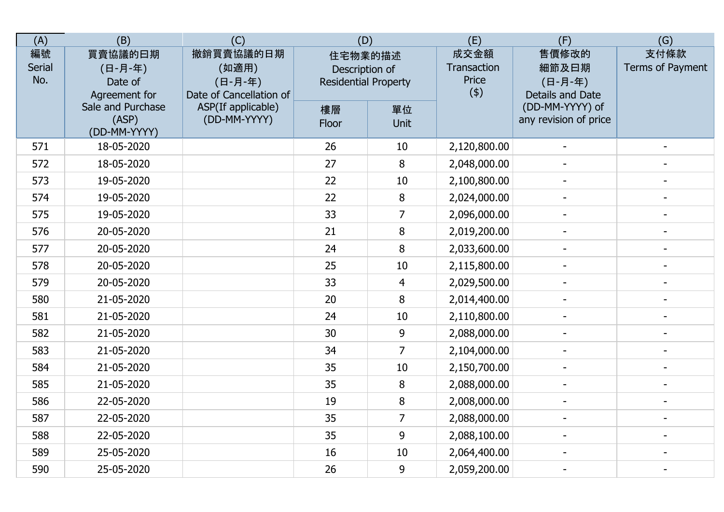| (A)                        | (B)                                            | (C)                                                      | (D)                                                      |                | (E)                                 | (F)                                           | (G)                      |
|----------------------------|------------------------------------------------|----------------------------------------------------------|----------------------------------------------------------|----------------|-------------------------------------|-----------------------------------------------|--------------------------|
| 編號<br><b>Serial</b><br>No. | 買賣協議的曰期<br>(日-月-年)<br>Date of<br>Agreement for | 撤銷買賣協議的日期<br>(如適用)<br>(日-月-年)<br>Date of Cancellation of | 住宅物業的描述<br>Description of<br><b>Residential Property</b> |                | 成交金額<br>Transaction<br>Price<br>(4) | 售價修改的<br>細節及曰期<br>(日-月-年)<br>Details and Date | 支付條款<br>Terms of Payment |
|                            | Sale and Purchase<br>(ASP)<br>(DD-MM-YYYY)     | ASP(If applicable)<br>(DD-MM-YYYY)                       | 樓層<br>Floor                                              | 單位<br>Unit     |                                     | (DD-MM-YYYY) of<br>any revision of price      |                          |
| 571                        | 18-05-2020                                     |                                                          | 26                                                       | 10             | 2,120,800.00                        |                                               |                          |
| 572                        | 18-05-2020                                     |                                                          | 27                                                       | 8              | 2,048,000.00                        |                                               |                          |
| 573                        | 19-05-2020                                     |                                                          | 22                                                       | 10             | 2,100,800.00                        |                                               |                          |
| 574                        | 19-05-2020                                     |                                                          | 22                                                       | 8              | 2,024,000.00                        |                                               |                          |
| 575                        | 19-05-2020                                     |                                                          | 33                                                       | $\overline{7}$ | 2,096,000.00                        | $\blacksquare$                                |                          |
| 576                        | 20-05-2020                                     |                                                          | 21                                                       | 8              | 2,019,200.00                        |                                               |                          |
| 577                        | 20-05-2020                                     |                                                          | 24                                                       | 8              | 2,033,600.00                        | $\blacksquare$                                | $\overline{a}$           |
| 578                        | 20-05-2020                                     |                                                          | 25                                                       | 10             | 2,115,800.00                        |                                               |                          |
| 579                        | 20-05-2020                                     |                                                          | 33                                                       | $\overline{4}$ | 2,029,500.00                        | $\overline{\phantom{0}}$                      |                          |
| 580                        | 21-05-2020                                     |                                                          | 20                                                       | 8              | 2,014,400.00                        |                                               |                          |
| 581                        | 21-05-2020                                     |                                                          | 24                                                       | 10             | 2,110,800.00                        |                                               |                          |
| 582                        | 21-05-2020                                     |                                                          | 30                                                       | 9              | 2,088,000.00                        |                                               |                          |
| 583                        | 21-05-2020                                     |                                                          | 34                                                       | $\overline{7}$ | 2,104,000.00                        | $\blacksquare$                                |                          |
| 584                        | 21-05-2020                                     |                                                          | 35                                                       | 10             | 2,150,700.00                        | $\blacksquare$                                | $\blacksquare$           |
| 585                        | 21-05-2020                                     |                                                          | 35                                                       | 8              | 2,088,000.00                        | $\overline{\phantom{a}}$                      |                          |
| 586                        | 22-05-2020                                     |                                                          | 19                                                       | 8              | 2,008,000.00                        | $\overline{\phantom{a}}$                      |                          |
| 587                        | 22-05-2020                                     |                                                          | 35                                                       | $\overline{7}$ | 2,088,000.00                        |                                               |                          |
| 588                        | 22-05-2020                                     |                                                          | 35                                                       | 9              | 2,088,100.00                        |                                               |                          |
| 589                        | 25-05-2020                                     |                                                          | 16                                                       | 10             | 2,064,400.00                        |                                               |                          |
| 590                        | 25-05-2020                                     |                                                          | 26                                                       | 9              | 2,059,200.00                        | $\blacksquare$                                | $\blacksquare$           |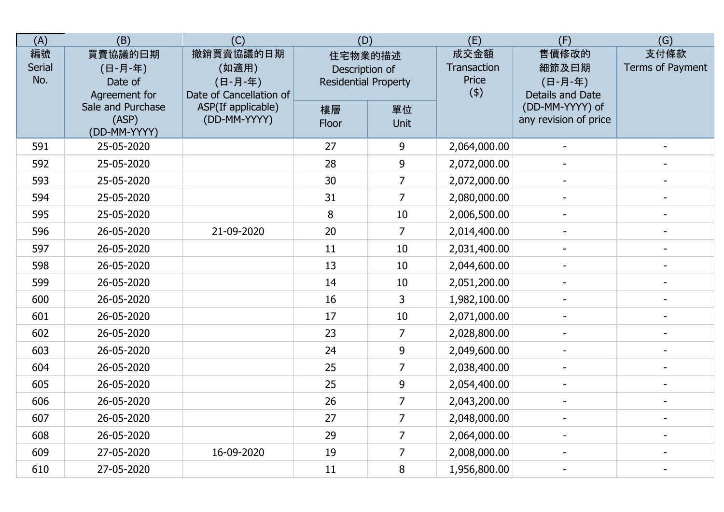| (A)                        | (B)                                            | (C)                                                      | (D)                                                      |                   | (E)                                 | (F)                                           | (G)                      |
|----------------------------|------------------------------------------------|----------------------------------------------------------|----------------------------------------------------------|-------------------|-------------------------------------|-----------------------------------------------|--------------------------|
| 編號<br><b>Serial</b><br>No. | 買賣協議的曰期<br>(日-月-年)<br>Date of<br>Agreement for | 撤銷買賣協議的日期<br>(如適用)<br>(日-月-年)<br>Date of Cancellation of | 住宅物業的描述<br>Description of<br><b>Residential Property</b> |                   | 成交金額<br>Transaction<br>Price<br>(4) | 售價修改的<br>細節及曰期<br>(日-月-年)<br>Details and Date | 支付條款<br>Terms of Payment |
|                            | Sale and Purchase<br>(ASP)<br>(DD-MM-YYYY)     | ASP(If applicable)<br>(DD-MM-YYYY)                       | 樓層<br>Floor                                              | 單位<br><b>Unit</b> |                                     | (DD-MM-YYYY) of<br>any revision of price      |                          |
| 591                        | 25-05-2020                                     |                                                          | 27                                                       | 9                 | 2,064,000.00                        |                                               |                          |
| 592                        | 25-05-2020                                     |                                                          | 28                                                       | 9                 | 2,072,000.00                        |                                               |                          |
| 593                        | 25-05-2020                                     |                                                          | 30                                                       | $\overline{7}$    | 2,072,000.00                        |                                               |                          |
| 594                        | 25-05-2020                                     |                                                          | 31                                                       | $\overline{7}$    | 2,080,000.00                        |                                               |                          |
| 595                        | 25-05-2020                                     |                                                          | 8                                                        | 10                | 2,006,500.00                        | $\overline{a}$                                |                          |
| 596                        | 26-05-2020                                     | 21-09-2020                                               | 20                                                       | $\overline{7}$    | 2,014,400.00                        |                                               |                          |
| 597                        | 26-05-2020                                     |                                                          | 11                                                       | 10                | 2,031,400.00                        | $\overline{\phantom{a}}$                      | $\overline{a}$           |
| 598                        | 26-05-2020                                     |                                                          | 13                                                       | 10                | 2,044,600.00                        |                                               |                          |
| 599                        | 26-05-2020                                     |                                                          | 14                                                       | 10                | 2,051,200.00                        |                                               |                          |
| 600                        | 26-05-2020                                     |                                                          | 16                                                       | 3                 | 1,982,100.00                        |                                               |                          |
| 601                        | 26-05-2020                                     |                                                          | 17                                                       | 10                | 2,071,000.00                        |                                               |                          |
| 602                        | 26-05-2020                                     |                                                          | 23                                                       | $\overline{7}$    | 2,028,800.00                        |                                               |                          |
| 603                        | 26-05-2020                                     |                                                          | 24                                                       | 9                 | 2,049,600.00                        | $\blacksquare$                                |                          |
| 604                        | 26-05-2020                                     |                                                          | 25                                                       | $\overline{7}$    | 2,038,400.00                        | $\blacksquare$                                | $\blacksquare$           |
| 605                        | 26-05-2020                                     |                                                          | 25                                                       | 9                 | 2,054,400.00                        |                                               | $\overline{\phantom{a}}$ |
| 606                        | 26-05-2020                                     |                                                          | 26                                                       | $\overline{7}$    | 2,043,200.00                        | $\overline{\phantom{0}}$                      |                          |
| 607                        | 26-05-2020                                     |                                                          | 27                                                       | $\overline{7}$    | 2,048,000.00                        |                                               |                          |
| 608                        | 26-05-2020                                     |                                                          | 29                                                       | $\overline{7}$    | 2,064,000.00                        |                                               |                          |
| 609                        | 27-05-2020                                     | 16-09-2020                                               | 19                                                       | $\overline{7}$    | 2,008,000.00                        |                                               |                          |
| 610                        | 27-05-2020                                     |                                                          | 11                                                       | 8                 | 1,956,800.00                        |                                               |                          |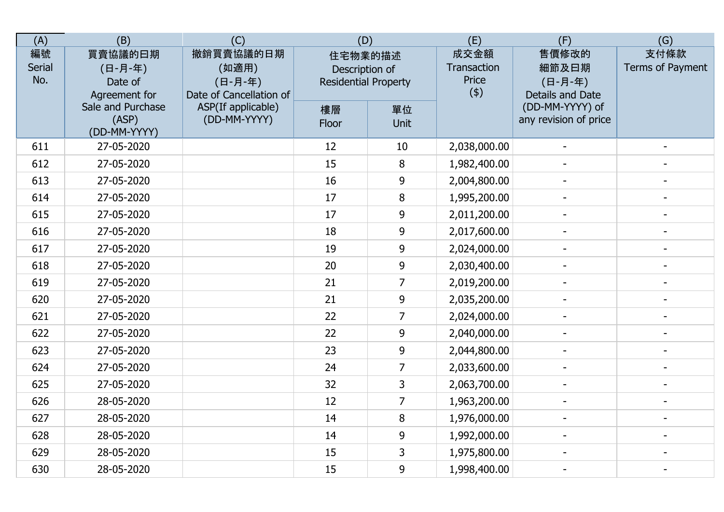| (A)                        | (B)                                            | (C)                                                      | (D)                                                      |                | (E)                                 | (F)                                           | (G)                      |
|----------------------------|------------------------------------------------|----------------------------------------------------------|----------------------------------------------------------|----------------|-------------------------------------|-----------------------------------------------|--------------------------|
| 編號<br><b>Serial</b><br>No. | 買賣協議的曰期<br>(日-月-年)<br>Date of<br>Agreement for | 撤銷買賣協議的日期<br>(如適用)<br>(日-月-年)<br>Date of Cancellation of | 住宅物業的描述<br>Description of<br><b>Residential Property</b> |                | 成交金額<br>Transaction<br>Price<br>(4) | 售價修改的<br>細節及曰期<br>(日-月-年)<br>Details and Date | 支付條款<br>Terms of Payment |
|                            | Sale and Purchase<br>(ASP)<br>(DD-MM-YYYY)     | ASP(If applicable)<br>(DD-MM-YYYY)                       | 樓層<br>Floor                                              | 單位<br>Unit     |                                     | (DD-MM-YYYY) of<br>any revision of price      |                          |
| 611                        | 27-05-2020                                     |                                                          | 12                                                       | 10             | 2,038,000.00                        |                                               |                          |
| 612                        | 27-05-2020                                     |                                                          | 15                                                       | 8              | 1,982,400.00                        |                                               |                          |
| 613                        | 27-05-2020                                     |                                                          | 16                                                       | 9              | 2,004,800.00                        |                                               |                          |
| 614                        | 27-05-2020                                     |                                                          | 17                                                       | 8              | 1,995,200.00                        |                                               |                          |
| 615                        | 27-05-2020                                     |                                                          | 17                                                       | 9              | 2,011,200.00                        | $\overline{a}$                                |                          |
| 616                        | 27-05-2020                                     |                                                          | 18                                                       | 9              | 2,017,600.00                        |                                               | $\overline{a}$           |
| 617                        | 27-05-2020                                     |                                                          | 19                                                       | 9              | 2,024,000.00                        | $\blacksquare$                                | $\blacksquare$           |
| 618                        | 27-05-2020                                     |                                                          | 20                                                       | 9              | 2,030,400.00                        |                                               |                          |
| 619                        | 27-05-2020                                     |                                                          | 21                                                       | $\overline{7}$ | 2,019,200.00                        |                                               |                          |
| 620                        | 27-05-2020                                     |                                                          | 21                                                       | 9              | 2,035,200.00                        |                                               |                          |
| 621                        | 27-05-2020                                     |                                                          | 22                                                       | $\overline{7}$ | 2,024,000.00                        |                                               |                          |
| 622                        | 27-05-2020                                     |                                                          | 22                                                       | 9              | 2,040,000.00                        |                                               |                          |
| 623                        | 27-05-2020                                     |                                                          | 23                                                       | 9              | 2,044,800.00                        | $\qquad \qquad -$                             |                          |
| 624                        | 27-05-2020                                     |                                                          | 24                                                       | $\overline{7}$ | 2,033,600.00                        | $\blacksquare$                                | $\blacksquare$           |
| 625                        | 27-05-2020                                     |                                                          | 32                                                       | 3              | 2,063,700.00                        |                                               |                          |
| 626                        | 28-05-2020                                     |                                                          | 12                                                       | $\overline{7}$ | 1,963,200.00                        | $\overline{\phantom{0}}$                      |                          |
| 627                        | 28-05-2020                                     |                                                          | 14                                                       | 8              | 1,976,000.00                        |                                               |                          |
| 628                        | 28-05-2020                                     |                                                          | 14                                                       | 9              | 1,992,000.00                        |                                               |                          |
| 629                        | 28-05-2020                                     |                                                          | 15                                                       | $\overline{3}$ | 1,975,800.00                        |                                               |                          |
| 630                        | 28-05-2020                                     |                                                          | 15                                                       | 9              | 1,998,400.00                        | $\blacksquare$                                | $\overline{\phantom{a}}$ |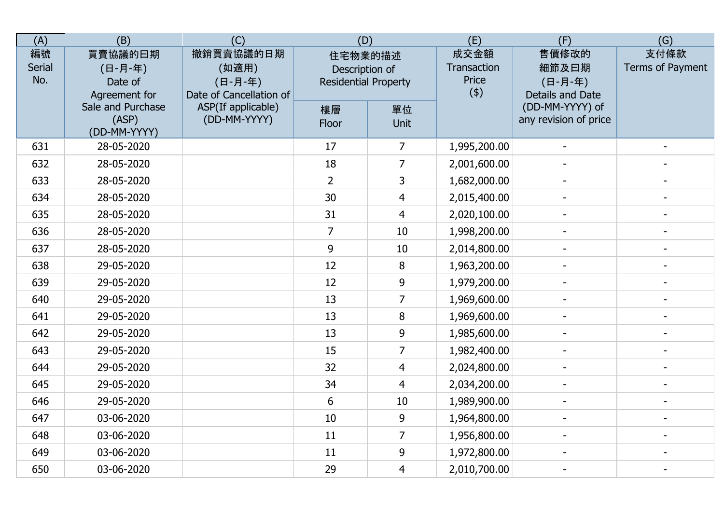| (A)                        | (B)                                            | (C)                                                      | (D)                                                      |                | (E)                                 | (F)                                           | (G)                      |
|----------------------------|------------------------------------------------|----------------------------------------------------------|----------------------------------------------------------|----------------|-------------------------------------|-----------------------------------------------|--------------------------|
| 編號<br><b>Serial</b><br>No. | 買賣協議的曰期<br>(日-月-年)<br>Date of<br>Agreement for | 撤銷買賣協議的日期<br>(如適用)<br>(日-月-年)<br>Date of Cancellation of | 住宅物業的描述<br>Description of<br><b>Residential Property</b> |                | 成交金額<br>Transaction<br>Price<br>(4) | 售價修改的<br>細節及曰期<br>(日-月-年)<br>Details and Date | 支付條款<br>Terms of Payment |
|                            | Sale and Purchase<br>(ASP)<br>(DD-MM-YYYY)     | ASP(If applicable)<br>(DD-MM-YYYY)                       | 樓層<br>Floor                                              | 單位<br>Unit     |                                     | (DD-MM-YYYY) of<br>any revision of price      |                          |
| 631                        | 28-05-2020                                     |                                                          | 17                                                       | 7              | 1,995,200.00                        |                                               |                          |
| 632                        | 28-05-2020                                     |                                                          | 18                                                       | $\overline{7}$ | 2,001,600.00                        |                                               |                          |
| 633                        | 28-05-2020                                     |                                                          | $\overline{2}$                                           | 3              | 1,682,000.00                        |                                               |                          |
| 634                        | 28-05-2020                                     |                                                          | 30                                                       | $\overline{4}$ | 2,015,400.00                        |                                               |                          |
| 635                        | 28-05-2020                                     |                                                          | 31                                                       | $\overline{4}$ | 2,020,100.00                        | $\overline{a}$                                |                          |
| 636                        | 28-05-2020                                     |                                                          | 7                                                        | 10             | 1,998,200.00                        |                                               | $\overline{a}$           |
| 637                        | 28-05-2020                                     |                                                          | 9                                                        | 10             | 2,014,800.00                        | $\blacksquare$                                | $\blacksquare$           |
| 638                        | 29-05-2020                                     |                                                          | 12                                                       | 8              | 1,963,200.00                        |                                               |                          |
| 639                        | 29-05-2020                                     |                                                          | 12                                                       | 9              | 1,979,200.00                        |                                               |                          |
| 640                        | 29-05-2020                                     |                                                          | 13                                                       | $\overline{7}$ | 1,969,600.00                        |                                               |                          |
| 641                        | 29-05-2020                                     |                                                          | 13                                                       | 8              | 1,969,600.00                        |                                               |                          |
| 642                        | 29-05-2020                                     |                                                          | 13                                                       | 9              | 1,985,600.00                        |                                               |                          |
| 643                        | 29-05-2020                                     |                                                          | 15                                                       | $\overline{7}$ | 1,982,400.00                        | $\qquad \qquad -$                             |                          |
| 644                        | 29-05-2020                                     |                                                          | 32                                                       | $\overline{4}$ | 2,024,800.00                        | $\blacksquare$                                | $\blacksquare$           |
| 645                        | 29-05-2020                                     |                                                          | 34                                                       | $\overline{4}$ | 2,034,200.00                        |                                               |                          |
| 646                        | 29-05-2020                                     |                                                          | 6                                                        | 10             | 1,989,900.00                        | $\overline{\phantom{0}}$                      |                          |
| 647                        | 03-06-2020                                     |                                                          | 10                                                       | 9              | 1,964,800.00                        |                                               |                          |
| 648                        | 03-06-2020                                     |                                                          | 11                                                       | $\overline{7}$ | 1,956,800.00                        |                                               |                          |
| 649                        | 03-06-2020                                     |                                                          | 11                                                       | 9              | 1,972,800.00                        |                                               |                          |
| 650                        | 03-06-2020                                     |                                                          | 29                                                       | $\overline{4}$ | 2,010,700.00                        | $\blacksquare$                                | $\overline{\phantom{a}}$ |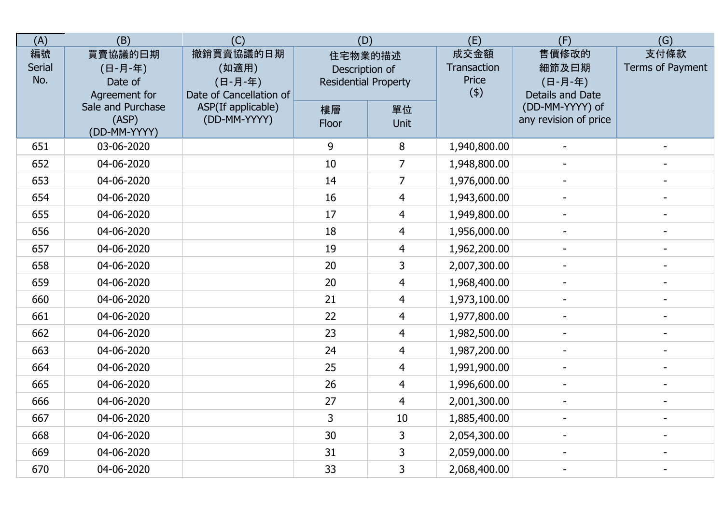| (A)                        | (B)                                            | (C)                                                      | (D)                                                      |                | (E)                                 | (F)                                           | (G)                      |
|----------------------------|------------------------------------------------|----------------------------------------------------------|----------------------------------------------------------|----------------|-------------------------------------|-----------------------------------------------|--------------------------|
| 編號<br><b>Serial</b><br>No. | 買賣協議的曰期<br>(日-月-年)<br>Date of<br>Agreement for | 撤銷買賣協議的日期<br>(如適用)<br>(日-月-年)<br>Date of Cancellation of | 住宅物業的描述<br>Description of<br><b>Residential Property</b> |                | 成交金額<br>Transaction<br>Price<br>(4) | 售價修改的<br>細節及曰期<br>(日-月-年)<br>Details and Date | 支付條款<br>Terms of Payment |
|                            | Sale and Purchase<br>(ASP)<br>(DD-MM-YYYY)     | ASP(If applicable)<br>(DD-MM-YYYY)                       | 樓層<br>Floor                                              | 單位<br>Unit     |                                     | (DD-MM-YYYY) of<br>any revision of price      |                          |
| 651                        | 03-06-2020                                     |                                                          | 9                                                        | 8              | 1,940,800.00                        |                                               |                          |
| 652                        | 04-06-2020                                     |                                                          | 10                                                       | $\overline{7}$ | 1,948,800.00                        |                                               |                          |
| 653                        | 04-06-2020                                     |                                                          | 14                                                       | $\overline{7}$ | 1,976,000.00                        |                                               |                          |
| 654                        | 04-06-2020                                     |                                                          | 16                                                       | $\overline{4}$ | 1,943,600.00                        |                                               |                          |
| 655                        | 04-06-2020                                     |                                                          | 17                                                       | $\overline{4}$ | 1,949,800.00                        | $\overline{a}$                                |                          |
| 656                        | 04-06-2020                                     |                                                          | 18                                                       | $\overline{4}$ | 1,956,000.00                        |                                               | $\overline{a}$           |
| 657                        | 04-06-2020                                     |                                                          | 19                                                       | $\overline{4}$ | 1,962,200.00                        | $\blacksquare$                                | $\blacksquare$           |
| 658                        | 04-06-2020                                     |                                                          | 20                                                       | 3              | 2,007,300.00                        |                                               |                          |
| 659                        | 04-06-2020                                     |                                                          | 20                                                       | $\overline{4}$ | 1,968,400.00                        |                                               |                          |
| 660                        | 04-06-2020                                     |                                                          | 21                                                       | $\overline{4}$ | 1,973,100.00                        |                                               |                          |
| 661                        | 04-06-2020                                     |                                                          | 22                                                       | $\overline{4}$ | 1,977,800.00                        |                                               |                          |
| 662                        | 04-06-2020                                     |                                                          | 23                                                       | $\overline{4}$ | 1,982,500.00                        |                                               |                          |
| 663                        | 04-06-2020                                     |                                                          | 24                                                       | $\overline{4}$ | 1,987,200.00                        | $\qquad \qquad -$                             |                          |
| 664                        | 04-06-2020                                     |                                                          | 25                                                       | $\overline{4}$ | 1,991,900.00                        | $\blacksquare$                                | $\blacksquare$           |
| 665                        | 04-06-2020                                     |                                                          | 26                                                       | $\overline{4}$ | 1,996,600.00                        | $\overline{\phantom{0}}$                      |                          |
| 666                        | 04-06-2020                                     |                                                          | 27                                                       | $\overline{4}$ | 2,001,300.00                        | $\overline{\phantom{0}}$                      |                          |
| 667                        | 04-06-2020                                     |                                                          | 3                                                        | 10             | 1,885,400.00                        |                                               |                          |
| 668                        | 04-06-2020                                     |                                                          | 30                                                       | 3              | 2,054,300.00                        |                                               |                          |
| 669                        | 04-06-2020                                     |                                                          | 31                                                       | $\overline{3}$ | 2,059,000.00                        |                                               |                          |
| 670                        | 04-06-2020                                     |                                                          | 33                                                       | $\overline{3}$ | 2,068,400.00                        | $\blacksquare$                                | $\overline{\phantom{a}}$ |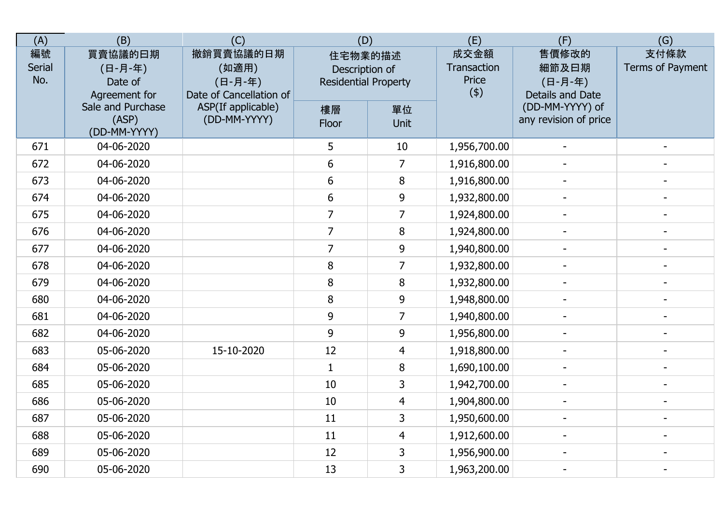| (A)                        | (B)                                            | (C)                                                      | (D)                                                      |                | (E)                                 | (F)                                           | (G)                      |
|----------------------------|------------------------------------------------|----------------------------------------------------------|----------------------------------------------------------|----------------|-------------------------------------|-----------------------------------------------|--------------------------|
| 編號<br><b>Serial</b><br>No. | 買賣協議的曰期<br>(日-月-年)<br>Date of<br>Agreement for | 撤銷買賣協議的日期<br>(如適用)<br>(日-月-年)<br>Date of Cancellation of | 住宅物業的描述<br>Description of<br><b>Residential Property</b> |                | 成交金額<br>Transaction<br>Price<br>(4) | 售價修改的<br>細節及曰期<br>(日-月-年)<br>Details and Date | 支付條款<br>Terms of Payment |
|                            | Sale and Purchase<br>(ASP)<br>(DD-MM-YYYY)     | ASP(If applicable)<br>(DD-MM-YYYY)                       | 樓層<br>Floor                                              | 單位<br>Unit     |                                     | (DD-MM-YYYY) of<br>any revision of price      |                          |
| 671                        | 04-06-2020                                     |                                                          | 5                                                        | 10             | 1,956,700.00                        |                                               |                          |
| 672                        | 04-06-2020                                     |                                                          | 6                                                        | $\overline{7}$ | 1,916,800.00                        |                                               |                          |
| 673                        | 04-06-2020                                     |                                                          | 6                                                        | 8              | 1,916,800.00                        |                                               |                          |
| 674                        | 04-06-2020                                     |                                                          | 6                                                        | 9              | 1,932,800.00                        |                                               |                          |
| 675                        | 04-06-2020                                     |                                                          | $\overline{7}$                                           | $\overline{7}$ | 1,924,800.00                        | $\overline{a}$                                |                          |
| 676                        | 04-06-2020                                     |                                                          | $\overline{7}$                                           | 8              | 1,924,800.00                        |                                               | $\blacksquare$           |
| 677                        | 04-06-2020                                     |                                                          | $\overline{7}$                                           | 9              | 1,940,800.00                        | $\overline{\phantom{0}}$                      | $\blacksquare$           |
| 678                        | 04-06-2020                                     |                                                          | 8                                                        | $\overline{7}$ | 1,932,800.00                        |                                               |                          |
| 679                        | 04-06-2020                                     |                                                          | 8                                                        | 8              | 1,932,800.00                        |                                               |                          |
| 680                        | 04-06-2020                                     |                                                          | 8                                                        | 9              | 1,948,800.00                        |                                               |                          |
| 681                        | 04-06-2020                                     |                                                          | 9                                                        | $\overline{7}$ | 1,940,800.00                        |                                               |                          |
| 682                        | 04-06-2020                                     |                                                          | 9                                                        | 9              | 1,956,800.00                        |                                               |                          |
| 683                        | 05-06-2020                                     | 15-10-2020                                               | 12                                                       | $\overline{4}$ | 1,918,800.00                        | $\overline{a}$                                |                          |
| 684                        | 05-06-2020                                     |                                                          | $\mathbf{1}$                                             | 8              | 1,690,100.00                        | $\blacksquare$                                | $\blacksquare$           |
| 685                        | 05-06-2020                                     |                                                          | 10                                                       | 3              | 1,942,700.00                        | $\overline{\phantom{0}}$                      |                          |
| 686                        | 05-06-2020                                     |                                                          | 10                                                       | $\overline{4}$ | 1,904,800.00                        | $\overline{\phantom{0}}$                      |                          |
| 687                        | 05-06-2020                                     |                                                          | 11                                                       | 3              | 1,950,600.00                        |                                               |                          |
| 688                        | 05-06-2020                                     |                                                          | 11                                                       | $\overline{4}$ | 1,912,600.00                        |                                               |                          |
| 689                        | 05-06-2020                                     |                                                          | 12                                                       | 3              | 1,956,900.00                        |                                               |                          |
| 690                        | 05-06-2020                                     |                                                          | 13                                                       | $\overline{3}$ | 1,963,200.00                        | $\blacksquare$                                | $\blacksquare$           |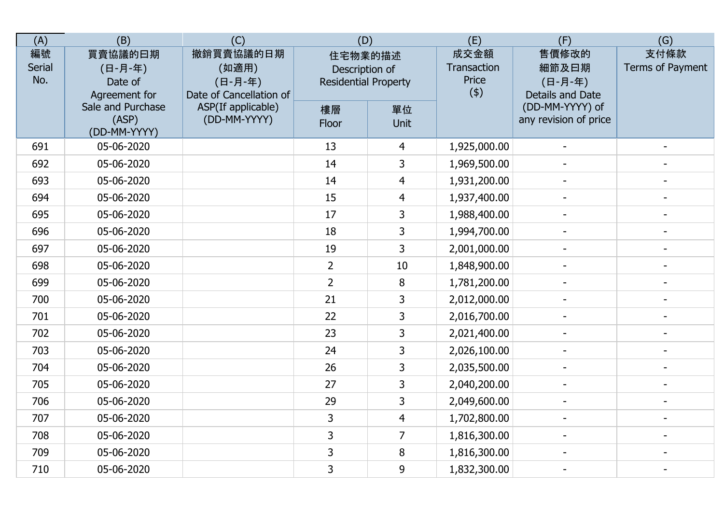| (A)                 | (B)                                            | (C)                                                      | (D)                                                      |                | (E)                                 | (F)                                           | (G)                      |
|---------------------|------------------------------------------------|----------------------------------------------------------|----------------------------------------------------------|----------------|-------------------------------------|-----------------------------------------------|--------------------------|
| 編號<br>Serial<br>No. | 買賣協議的曰期<br>(日-月-年)<br>Date of<br>Agreement for | 撤銷買賣協議的日期<br>(如適用)<br>(日-月-年)<br>Date of Cancellation of | 住宅物業的描述<br>Description of<br><b>Residential Property</b> |                | 成交金額<br>Transaction<br>Price<br>(4) | 售價修改的<br>細節及日期<br>(日-月-年)<br>Details and Date | 支付條款<br>Terms of Payment |
|                     | Sale and Purchase<br>(ASP)<br>(DD-MM-YYYY)     | ASP(If applicable)<br>(DD-MM-YYYY)                       | 樓層<br>Floor                                              | 單位<br>Unit     |                                     | (DD-MM-YYYY) of<br>any revision of price      |                          |
| 691                 | 05-06-2020                                     |                                                          | 13                                                       | 4              | 1,925,000.00                        |                                               |                          |
| 692                 | 05-06-2020                                     |                                                          | 14                                                       | 3              | 1,969,500.00                        |                                               |                          |
| 693                 | 05-06-2020                                     |                                                          | 14                                                       | $\overline{4}$ | 1,931,200.00                        |                                               |                          |
| 694                 | 05-06-2020                                     |                                                          | 15                                                       | $\overline{4}$ | 1,937,400.00                        |                                               |                          |
| 695                 | 05-06-2020                                     |                                                          | 17                                                       | 3              | 1,988,400.00                        | $\overline{a}$                                |                          |
| 696                 | 05-06-2020                                     |                                                          | 18                                                       | 3              | 1,994,700.00                        |                                               |                          |
| 697                 | 05-06-2020                                     |                                                          | 19                                                       | 3              | 2,001,000.00                        | $\blacksquare$                                | $\blacksquare$           |
| 698                 | 05-06-2020                                     |                                                          | $\overline{2}$                                           | 10             | 1,848,900.00                        |                                               |                          |
| 699                 | 05-06-2020                                     |                                                          | $\overline{2}$                                           | 8              | 1,781,200.00                        |                                               |                          |
| 700                 | 05-06-2020                                     |                                                          | 21                                                       | 3              | 2,012,000.00                        |                                               |                          |
| 701                 | 05-06-2020                                     |                                                          | 22                                                       | 3              | 2,016,700.00                        |                                               |                          |
| 702                 | 05-06-2020                                     |                                                          | 23                                                       | 3              | 2,021,400.00                        |                                               |                          |
| 703                 | 05-06-2020                                     |                                                          | 24                                                       | 3              | 2,026,100.00                        |                                               |                          |
| 704                 | 05-06-2020                                     |                                                          | 26                                                       | 3              | 2,035,500.00                        | $\blacksquare$                                | $\blacksquare$           |
| 705                 | 05-06-2020                                     |                                                          | 27                                                       | 3              | 2,040,200.00                        |                                               |                          |
| 706                 | 05-06-2020                                     |                                                          | 29                                                       | 3              | 2,049,600.00                        |                                               |                          |
| 707                 | 05-06-2020                                     |                                                          | 3                                                        | $\overline{4}$ | 1,702,800.00                        |                                               |                          |
| 708                 | 05-06-2020                                     |                                                          | 3                                                        | $\overline{7}$ | 1,816,300.00                        |                                               |                          |
| 709                 | 05-06-2020                                     |                                                          | 3                                                        | 8              | 1,816,300.00                        |                                               |                          |
| 710                 | 05-06-2020                                     |                                                          | 3                                                        | 9              | 1,832,300.00                        | $\blacksquare$                                | $\overline{\phantom{a}}$ |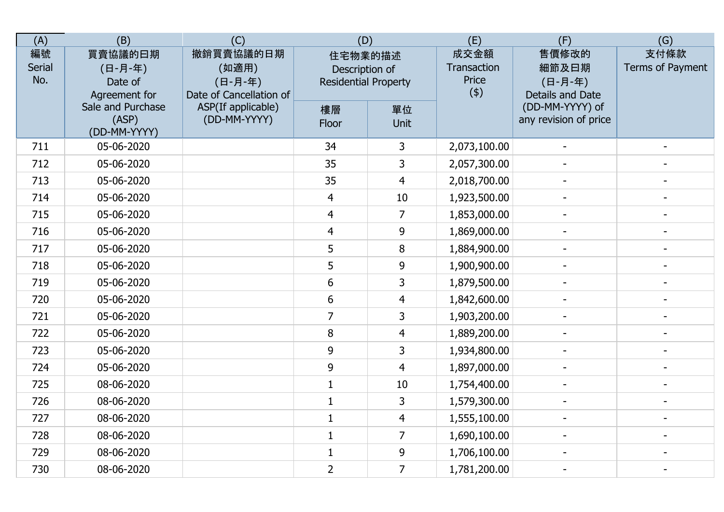| (A)                 | (B)                                            | (C)                                                      | (D)                                                      |                | (E)                                 | (F)                                           | (G)                      |
|---------------------|------------------------------------------------|----------------------------------------------------------|----------------------------------------------------------|----------------|-------------------------------------|-----------------------------------------------|--------------------------|
| 編號<br>Serial<br>No. | 買賣協議的曰期<br>(日-月-年)<br>Date of<br>Agreement for | 撤銷買賣協議的日期<br>(如適用)<br>(日-月-年)<br>Date of Cancellation of | 住宅物業的描述<br>Description of<br><b>Residential Property</b> |                | 成交金額<br>Transaction<br>Price<br>(4) | 售價修改的<br>細節及日期<br>(日-月-年)<br>Details and Date | 支付條款<br>Terms of Payment |
|                     | Sale and Purchase<br>(ASP)<br>(DD-MM-YYYY)     | ASP(If applicable)<br>(DD-MM-YYYY)                       | 樓層<br>Floor                                              | 單位<br>Unit     |                                     | (DD-MM-YYYY) of<br>any revision of price      |                          |
| 711                 | 05-06-2020                                     |                                                          | 34                                                       | 3              | 2,073,100.00                        |                                               |                          |
| 712                 | 05-06-2020                                     |                                                          | 35                                                       | 3              | 2,057,300.00                        |                                               |                          |
| 713                 | 05-06-2020                                     |                                                          | 35                                                       | $\overline{4}$ | 2,018,700.00                        |                                               |                          |
| 714                 | 05-06-2020                                     |                                                          | 4                                                        | 10             | 1,923,500.00                        |                                               |                          |
| 715                 | 05-06-2020                                     |                                                          | $\overline{4}$                                           | $\overline{7}$ | 1,853,000.00                        |                                               |                          |
| 716                 | 05-06-2020                                     |                                                          | $\overline{4}$                                           | 9              | 1,869,000.00                        |                                               |                          |
| 717                 | 05-06-2020                                     |                                                          | 5                                                        | 8              | 1,884,900.00                        | $\overline{\phantom{a}}$                      | $\blacksquare$           |
| 718                 | 05-06-2020                                     |                                                          | 5                                                        | 9              | 1,900,900.00                        |                                               |                          |
| 719                 | 05-06-2020                                     |                                                          | 6                                                        | 3              | 1,879,500.00                        |                                               |                          |
| 720                 | 05-06-2020                                     |                                                          | 6                                                        | $\overline{4}$ | 1,842,600.00                        |                                               |                          |
| 721                 | 05-06-2020                                     |                                                          | $\overline{7}$                                           | 3              | 1,903,200.00                        |                                               |                          |
| 722                 | 05-06-2020                                     |                                                          | 8                                                        | $\overline{4}$ | 1,889,200.00                        |                                               |                          |
| 723                 | 05-06-2020                                     |                                                          | 9                                                        | 3              | 1,934,800.00                        |                                               |                          |
| 724                 | 05-06-2020                                     |                                                          | 9                                                        | $\overline{4}$ | 1,897,000.00                        | $\overline{\phantom{a}}$                      | $\blacksquare$           |
| 725                 | 08-06-2020                                     |                                                          | $\mathbf{1}$                                             | 10             | 1,754,400.00                        |                                               |                          |
| 726                 | 08-06-2020                                     |                                                          | $\mathbf{1}$                                             | 3              | 1,579,300.00                        |                                               |                          |
| 727                 | 08-06-2020                                     |                                                          | $\mathbf{1}$                                             | $\overline{4}$ | 1,555,100.00                        |                                               |                          |
| 728                 | 08-06-2020                                     |                                                          | $\mathbf{1}$                                             | $\overline{7}$ | 1,690,100.00                        |                                               |                          |
| 729                 | 08-06-2020                                     |                                                          | $\mathbf{1}$                                             | 9              | 1,706,100.00                        |                                               |                          |
| 730                 | 08-06-2020                                     |                                                          | $\overline{2}$                                           | $\overline{7}$ | 1,781,200.00                        | $\blacksquare$                                |                          |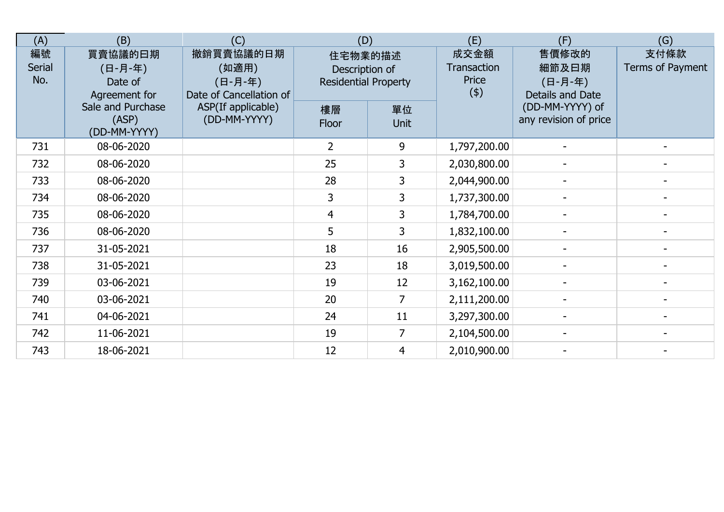| (A)                        | (B)                                            | (C)                                                      | (D)                                                      |                   | (E)                                 | (F)                                           | (G)                      |
|----------------------------|------------------------------------------------|----------------------------------------------------------|----------------------------------------------------------|-------------------|-------------------------------------|-----------------------------------------------|--------------------------|
| 編號<br><b>Serial</b><br>No. | 買賣協議的日期<br>(日-月-年)<br>Date of<br>Agreement for | 撤銷買賣協議的日期<br>(如適用)<br>(日-月-年)<br>Date of Cancellation of | 住宅物業的描述<br>Description of<br><b>Residential Property</b> |                   | 成交金額<br>Transaction<br>Price<br>(4) | 售價修改的<br>細節及曰期<br>(日-月-年)<br>Details and Date | 支付條款<br>Terms of Payment |
|                            | Sale and Purchase<br>(ASP)<br>(DD-MM-YYYY)     | ASP(If applicable)<br>(DD-MM-YYYY)                       | 樓層<br>Floor                                              | 單位<br><b>Unit</b> |                                     | (DD-MM-YYYY) of<br>any revision of price      |                          |
| 731                        | 08-06-2020                                     |                                                          | $\overline{2}$                                           | 9                 | 1,797,200.00                        |                                               |                          |
| 732                        | 08-06-2020                                     |                                                          | 25                                                       | 3                 | 2,030,800.00                        |                                               |                          |
| 733                        | 08-06-2020                                     |                                                          | 28                                                       | 3                 | 2,044,900.00                        |                                               |                          |
| 734                        | 08-06-2020                                     |                                                          | 3                                                        | 3                 | 1,737,300.00                        |                                               |                          |
| 735                        | 08-06-2020                                     |                                                          | 4                                                        | 3                 | 1,784,700.00                        |                                               |                          |
| 736                        | 08-06-2020                                     |                                                          | 5                                                        | 3                 | 1,832,100.00                        |                                               |                          |
| 737                        | 31-05-2021                                     |                                                          | 18                                                       | 16                | 2,905,500.00                        |                                               |                          |
| 738                        | 31-05-2021                                     |                                                          | 23                                                       | 18                | 3,019,500.00                        |                                               |                          |
| 739                        | 03-06-2021                                     |                                                          | 19                                                       | 12                | 3,162,100.00                        |                                               |                          |
| 740                        | 03-06-2021                                     |                                                          | 20                                                       | $\overline{7}$    | 2,111,200.00                        |                                               |                          |
| 741                        | 04-06-2021                                     |                                                          | 24                                                       | 11                | 3,297,300.00                        |                                               |                          |
| 742                        | 11-06-2021                                     |                                                          | 19                                                       |                   | 2,104,500.00                        |                                               |                          |
| 743                        | 18-06-2021                                     |                                                          | 12                                                       | $\overline{4}$    | 2,010,900.00                        |                                               |                          |